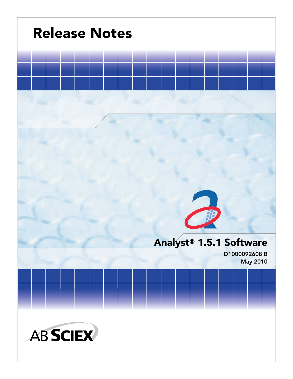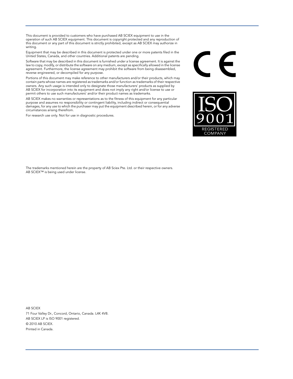This document is provided to customers who have purchased AB SCIEX equipment to use in the operation of such AB SCIEX equipment. This document is copyright protected and any reproduction of this document or any part of this document is strictly prohibited, except as AB SCIEX may authorize in writing.

Equipment that may be described in this document is protected under one or more patents filed in the United States, Canada, and other countries. Additional patents are pending.

Software that may be described in this document is furnished under a license agreement. It is against the law to copy, modify, or distribute the software on any medium, except as specifically allowed in the license agreement. Furthermore, the license agreement may prohibit the software from being disassembled, reverse engineered, or decompiled for any purpose.

Portions of this document may make reference to other manufacturers and/or their products, which may contain parts whose names are registered as trademarks and/or function as trademarks of their respective owners. Any such usage is intended only to designate those manufacturers' products as supplied by AB SCIEX for incorporation into its equipment and does not imply any right and/or license to use or permit others to use such manufacturers' and/or their product names as trademarks.

AB SCIEX makes no warranties or representations as to the fitness of this equipment for any particular purpose and assumes no responsibility or contingent liability, including indirect or consequential damages, for any use to which the purchaser may put the equipment described herein, or for any adverse circumstances arising therefrom.

For research use only. Not for use in diagnostic procedures.

E



The trademarks mentioned herein are the property of AB Sciex Pte. Ltd. or their respective owners. AB SCIEX™ is being used under license.

AB SCIEX 71 Four Valley Dr., Concord, Ontario, Canada. L4K 4V8. AB SCIEX LP is ISO 9001 registered. © 2010 AB SCIEX. Printed in Canada.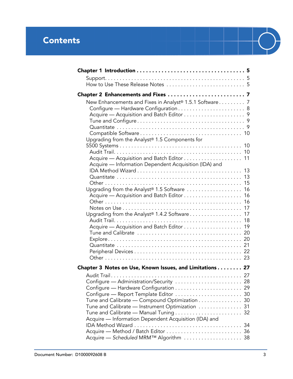# **Contents**

| How to Use These Release Notes  5                                                                                                                                                                                                               |    |
|-------------------------------------------------------------------------------------------------------------------------------------------------------------------------------------------------------------------------------------------------|----|
|                                                                                                                                                                                                                                                 |    |
| New Enhancements and Fixes in Analyst® 1.5.1 Software 7<br>Configure — Hardware Configuration 8<br>Upgrading from the Analyst® 1.5 Components for                                                                                               |    |
|                                                                                                                                                                                                                                                 |    |
| Acquire - Acquisition and Batch Editor  11<br>Acquire — Information Dependent Acquisition (IDA) and                                                                                                                                             |    |
| Acquire — Acquisition and Batch Editor  16<br>Upgrading from the Analyst® 1.4.2 Software 17<br>Acquire - Acquisition and Batch Editor  19                                                                                                       | 16 |
| Chapter 3 Notes on Use, Known Issues, and Limitations 27                                                                                                                                                                                        |    |
| Configure - Administration/Security  28<br>Tune and Calibrate - Compound Optimization 30<br>Tune and Calibrate - Instrument Optimization  31<br>Acquire - Information Dependent Acquisition (IDA) and<br>Acquire - Scheduled MRM™ Algorithm  38 |    |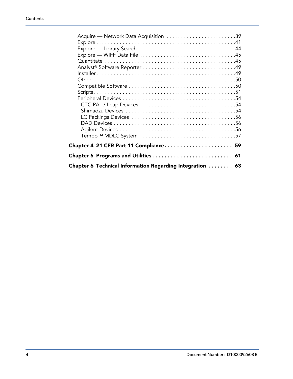| Acquire — Network Data Acquisition 39                     |
|-----------------------------------------------------------|
|                                                           |
|                                                           |
|                                                           |
|                                                           |
|                                                           |
|                                                           |
|                                                           |
|                                                           |
|                                                           |
|                                                           |
|                                                           |
|                                                           |
|                                                           |
|                                                           |
|                                                           |
|                                                           |
| Chapter 4 21 CFR Part 11 Compliance 59                    |
| Chapter 5 Programs and Utilities 61                       |
| Chapter 6 Technical Information Regarding Integration  63 |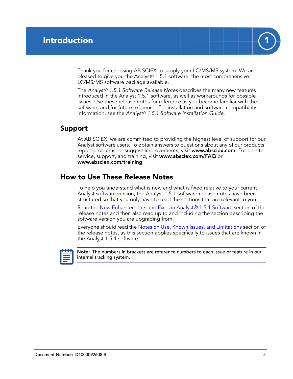

<span id="page-4-0"></span>Thank you for choosing AB SCIEX to supply your LC/MS/MS system. We are pleased to give you the Analyst® 1.5.1 software, the most comprehensive LC/MS/MS software package available.

The *Analyst® 1.5.1 Software Release Notes* describes the many new features introduced in the Analyst 1.5.1 software, as well as workarounds for possible issues. Use these release notes for reference as you become familiar with the software, and for future reference. For installation and software compatibility information, see the *Analyst® 1.5.1 Software Installation Guide*.

## <span id="page-4-1"></span>Support

At AB SCIEX, we are committed to providing the highest level of support for our Analyst software users. To obtain answers to questions about any of our products, report problems, or suggest improvements, visit www.absciex.com. For on-site service, support, and training, visit www.absciex.com/FAQ or www.absciex.com/training.

## <span id="page-4-2"></span>How to Use These Release Notes

To help you understand what is new and what is fixed relative to your current Analyst software version, the Analyst 1.5.1 software release notes have been structured so that you only have to read the sections that are relevant to you.

Read the [New Enhancements and Fixes in Analyst® 1.5.1 Software](#page-6-2) section of the release notes and then also read up to and including the section describing the software version you are upgrading from.

Everyone should read the [Notes on Use, Known Issues, and Limitations](#page-26-2) section of the release notes, as this section applies specifically to issues that are known in the Analyst 1.5.1 software.



Note: The numbers in brackets are reference numbers to each issue or feature in our internal tracking system.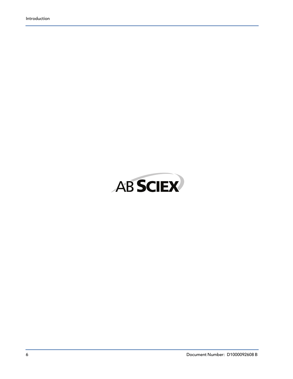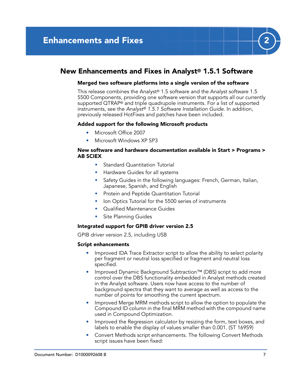

# <span id="page-6-2"></span><span id="page-6-1"></span><span id="page-6-0"></span>New Enhancements and Fixes in Analyst® 1.5.1 Software

## Merged two software platforms into a single version of the software

This release combines the Analyst® 1.5 software and the Analyst software 1.5 5500 Components, providing one software version that supports all our currently supported QTRAP® and triple quadrupole instruments. For a list of supported instruments, see the *Analyst® 1.5.1 Software Installation Guide*. In addition, previously released HotFixes and patches have been included.

## Added support for the following Microsoft products

- Microsoft Office 2007
- Microsoft Windows XP SP3

## New software and hardware documentation available in Start > Programs > AB SCIEX

- Standard Quantitation Tutorial
- Hardware Guides for all systems
- Safety Guides in the following languages: French, German, Italian, Japanese, Spanish, and English
- **•** Protein and Peptide Quantitation Tutorial
- Ion Optics Tutorial for the 5500 series of instruments
- Qualified Maintenance Guides
- **\*** Site Planning Guides

## Integrated support for GPIB driver version 2.5

GPIB driver version 2.5, including USB

## Script enhancements

- Improved IDA Trace Extractor script to allow the ability to select polarity per fragment or neutral loss specified or fragment and neutral loss specified.
- Improved Dynamic Background Subtraction™ (DBS) script to add more control over the DBS functionality embedded in Analyst methods created in the Analyst software. Users now have access to the number of background spectra that they want to average as well as access to the number of points for smoothing the current spectrum.
- Improved Merge MRM methods script to allow the option to populate the Compound ID column in the final MRM method with the compound name used in Compound Optimization.
- Improved the Regression calculator by resizing the form, text boxes, and labels to enable the display of values smaller than 0.001. (ST 16959)
- Convert Methods script enhancements. The following Convert Methods script issues have been fixed: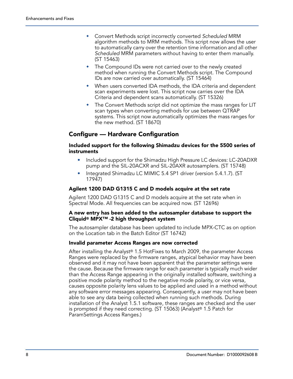- Convert Methods script incorrectly converted *Scheduled* MRM algorithm methods to MRM methods. This script now allows the user to automatically carry over the retention time information and all other *Scheduled* MRM parameters without having to enter them manually. (ST 15463)
- The Compound IDs were not carried over to the newly created method when running the Convert Methods script. The Compound IDs are now carried over automatically. (ST 15464)
- When users converted IDA methods, the IDA criteria and dependent scan experiments were lost. This script now carries over the IDA Criteria and dependent scans automatically. (ST 15326)
- The Convert Methods script did not optimize the mass ranges for LIT scan types when converting methods for use between QTRAP systems. This script now automatically optimizes the mass ranges for the new method. (ST 18670)

## <span id="page-7-0"></span>Configure — Hardware Configuration

## Included support for the following Shimadzu devices for the 5500 series of instruments

- Included support for the Shimadzu High Pressure LC devices: LC-20ADXR pump and the SIL-20ACXR and SIL-20AXR autosamplers. (ST 15748)
- Integrated Shimadzu LC MIMIC 5.4 SP1 driver (version 5.4.1.7). (ST 17947)

## Agilent 1200 DAD G1315 C and D models acquire at the set rate

Agilent 1200 DAD G1315 C and D models acquire at the set rate when in Spectral Mode. All frequencies can be acquired now. (ST 12696)

## A new entry has been added to the autosampler database to support the Cliquid® MPX™ -2 high throughput system

The autosampler database has been updated to include MPX-CTC as on option on the Location tab in the Batch Editor (ST 16742)

## Invalid parameter Access Ranges are now corrected

After installing the Analyst® 1.5 HotFixes to March 2009, the parameter Access Ranges were replaced by the firmware ranges, atypical behavior may have been observed and it may not have been apparent that the parameter settings were the cause. Because the firmware range for each parameter is typically much wider than the Access Range appearing in the originally installed software, switching a positive mode polarity method to the negative mode polarity, or vice versa, causes opposite polarity lens values to be applied and used in a method without any software error messages appearing. Consequently, a user may not have been able to see any data being collected when running such methods. During installation of the Analyst 1.5.1 software, these ranges are checked and the user is prompted if they need correcting. (ST 15063) (Analyst® 1.5 Patch for ParamSettings Access Ranges.)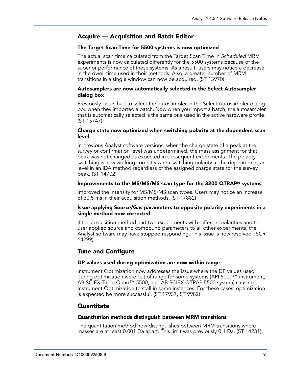## <span id="page-8-0"></span>Acquire — Acquisition and Batch Editor

## The Target Scan Time for 5500 systems is now optimized

The actual scan time calculated from the Target Scan Time in *Scheduled* MRM experiments is now calculated differently for the 5500 systems because of the superior performance of these systems. As a result, users may notice a decrease in the dwell time used in their methods. Also, a greater number of MRM transitions in a single window can now be acquired. (ST 13970)

## Autosamplers are now automatically selected in the Select Autosampler dialog box

Previously, users had to select the autosampler in the Select Autosampler dialog box when they imported a batch. Now when you import a batch, the autosampler that is automatically selected is the same one used in the active hardware profile. (ST 15747)

## Charge state now optimized when switching polarity at the dependent scan level

In previous Analyst software versions, when the charge state of a peak at the survey or confirmation level was undetermined, the mass assignment for that peak was not changed as expected in subsequent experiments. The polarity switching is now working correctly when switching polarity at the dependent scan level in an IDA method regardless of the assigned charge state for the survey peak. (ST 14702)

#### Improvements to the MS/MS/MS scan type for the 3200 QTRAP® systems

Improved the intensity for MS/MS/MS scan types. Users may notice an increase of 30.5 ms in their acquisition methods. (ST 17882)

## Issue applying Source/Gas parameters to opposite polarity experiments in a single method now corrected

If the acquisition method had two experiments with different polarities and the user applied source and compound parameters to all other experiments, the Analyst software may have stopped responding. This issue is now resolved. (SCR 14299)

## <span id="page-8-1"></span>Tune and Configure

## DP values used during optimization are now within range

Instrument Optimization now addresses the issue where the DP values used during optimization were out of range for some systems (API 5000™ instrument, AB SCIEX Triple Quad™ 5500, and AB SCIEX QTRAP 5500 system) causing Instrument Optimization to stall in some instances. For these cases, optimization is expected be more successful. (ST 17937, ST 9982)

## <span id="page-8-2"></span>**Quantitate**

## Quantitation methods distinguish between MRM transitions

The quantitation method now distinguishes between MRM transitions where masses are at least 0.001 Da apart. This limit was previously 0.1 Da. (ST 14231)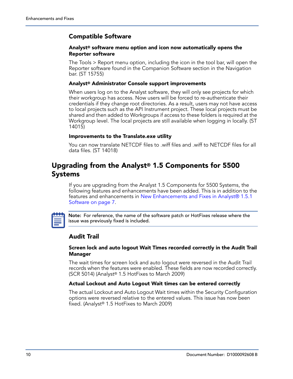## <span id="page-9-0"></span>Compatible Software

## Analyst® software menu option and icon now automatically opens the Reporter software

The Tools > Report menu option, including the icon in the tool bar, will open the Reporter software found in the Companion Software section in the Navigation bar. (ST 15755)

## Analyst® Administrator Console support improvements

When users log on to the Analyst software, they will only see projects for which their workgroup has access. Now users will be forced to re-authenticate their credentials if they change root directories. As a result, users may not have access to local projects such as the API Instrument project. These local projects must be shared and then added to Workgroups if access to these folders is required at the Workgroup level. The local projects are still available when logging in locally. (ST 14015)

## Improvements to the Translate.exe utility

You can now translate NETCDF files to .wiff files and .wiff to NETCDF files for all data files. (ST 14018)

# <span id="page-9-1"></span>Upgrading from the Analyst® 1.5 Components for 5500 Systems

If you are upgrading from the Analyst 1.5 Components for 5500 Systems, the following features and enhancements have been added. This is in addition to the features and enhancements in [New Enhancements and Fixes in Analyst® 1.5.1](#page-6-1)  [Software on page 7.](#page-6-1)



Note: For reference, the name of the software patch or HotFixes release where the issue was previously fixed is included.

## <span id="page-9-2"></span>Audit Trail

## Screen lock and auto logout Wait Times recorded correctly in the Audit Trail Manager

The wait times for screen lock and auto logout were reversed in the Audit Trail records when the features were enabled. These fields are now recorded correctly. (SCR 5014) (Analyst® 1.5 HotFixes to March 2009)

## Actual Lockout and Auto Logout Wait times can be entered correctly

The actual Lockout and Auto Logout Wait times within the Security Configuration options were reversed relative to the entered values. This issue has now been fixed. (Analyst® 1.5 HotFixes to March 2009)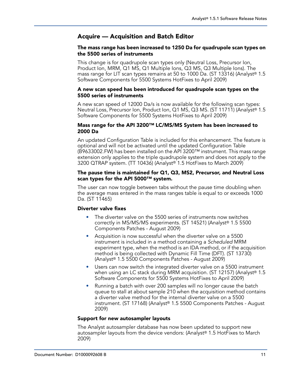## <span id="page-10-0"></span>Acquire — Acquisition and Batch Editor

#### The mass range has been increased to 1250 Da for quadrupole scan types on the 5500 series of instruments

This change is for quadrupole scan types only (Neutral Loss, Precursor Ion, Product Ion, MRM, Q1 MS, Q1 Multiple Ions, Q3 MS, Q3 Multiple Ions). The mass range for LIT scan types remains at 50 to 1000 Da. (ST 13316) (Analyst® 1.5 Software Components for 5500 Systems HotFixes to April 2009)

#### A new scan speed has been introduced for quadrupole scan types on the 5500 series of instruments

A new scan speed of 12000 Da/s is now available for the following scan types: Neutral Loss, Precursor Ion, Product Ion, Q1 MS, Q3 MS. (ST 11711) (Analyst® 1.5 Software Components for 5500 Systems HotFixes to April 2009)

## Mass range for the API 3200™ LC/MS/MS System has been increased to 2000 Da

An updated Configuration Table is included for this enhancement. The feature is optional and will not be activated until the updated Configuration Table (B9633002.FW) has been installed on the API 3200™ instrument. This mass range extension only applies to the triple quadrupole system and does not apply to the 3200 QTRAP system. (TT 10436) (Analyst® 1.5 HotFixes to March 2009)

### The pause time is maintained for Q1, Q3, MS2, Precursor, and Neutral Loss scan types for the API 5000™ system.

The user can now toggle between tabs without the pause time doubling when the average mass entered in the mass ranges table is equal to or exceeds 1000 Da. (ST 11465)

## Diverter valve fixes

- The diverter valve on the 5500 series of instruments now switches correctly in MS/MS/MS experiments. (ST 14521) (Analyst® 1.5 5500 Components Patches - August 2009)
- Acquisition is now successful when the diverter valve on a 5500 instrument is included in a method containing a *Scheduled* MRM experiment type, when the method is an IDA method, or if the acquisition method is being collected with Dynamic Fill Time (DFT). (ST 13730) (Analyst® 1.5 5500 Components Patches - August 2009)
- Users can now switch the integrated diverter valve on a 5500 instrument when using an LC stack during MRM acquisition. (ST 12157) (Analyst® 1.5 Software Components for 5500 Systems HotFixes to April 2009)
- Running a batch with over 200 samples will no longer cause the batch queue to stall at about sample 210 when the acquisition method contains a diverter valve method for the internal diverter valve on a 5500 instrument. (ST 17168) (Analyst® 1.5 5500 Components Patches - August 2009)

## Support for new autosampler layouts

The Analyst autosampler database has now been updated to support new autosampler layouts from the device vendors: (Analyst® 1.5 HotFixes to March 2009)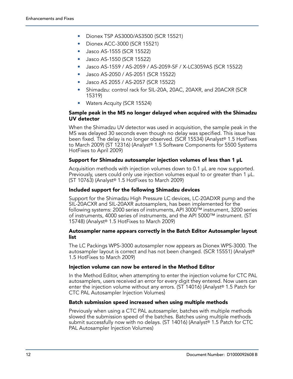- Dionex TSP AS3000/AS3500 (SCR 15521)
- Dionex ACC-3000 (SCR 15521)
- Jasco AS-1555 (SCR 15522)
- Jasco AS-1550 (SCR 15522)
- Jasco AS-1559 / AS-2059 / AS-2059-SF / X-LC3059AS (SCR 15522)
- Jasco AS-2050 / AS-2051 (SCR 15522)
- Jasco AS 2055 / AS-2057 (SCR 15522)
- Shimadzu: control rack for SIL-20A, 20AC, 20AXR, and 20ACXR (SCR 15319)
- Waters Acquity (SCR 15524)

## Sample peak in the MS no longer delayed when acquired with the Shimadzu UV detector

When the Shimadzu UV detector was used in acquisition, the sample peak in the MS was delayed 30 seconds even though no delay was specified. This issue has been fixed. The delay is no longer observed. (SCR 15534) (Analyst® 1.5 HotFixes to March 2009) (ST 12316) (Analyst® 1.5 Software Components for 5500 Systems HotFixes to April 2009)

## Support for Shimadzu autosampler injection volumes of less than 1 μL

Acquisition methods with injection volumes down to 0.1 μL are now supported. Previously, users could only use injection volumes equal to or greater than 1 μL. (ST 10763) (Analyst® 1.5 HotFixes to March 2009)

## Included support for the following Shimadzu devices

Support for the Shimadzu High Pressure LC devices, LC-20ADXR pump and the SIL-20ACXR and SIL-20AXR autosamplers, has been implemented for the following systems: 2000 series of instruments, API 3000™ instrument, 3200 series of instruments, 4000 series of instruments, and the API 5000™ instrument. (ST 15748) (Analyst® 1.5 HotFixes to March 2009)

## Autosampler name appears correctly in the Batch Editor Autosampler layout list

The LC Packings WPS-3000 autosampler now appears as Dionex WPS-3000. The autosampler layout is correct and has not been changed. (SCR 15551) (Analyst® 1.5 HotFixes to March 2009)

## Injection volume can now be entered in the Method Editor

In the Method Editor, when attempting to enter the injection volume for CTC PAL autosamplers, users received an error for every digit they entered. Now users can enter the injection volume without any errors. (ST 14016) (Analyst® 1.5 Patch for CTC PAL Autosampler Injection Volumes)

## Batch submission speed increased when using multiple methods

Previously when using a CTC PAL autosampler, batches with multiple methods slowed the submission speed of the batches. Batches using multiple methods submit successfully now with no delays. (ST 14016) (Analyst® 1.5 Patch for CTC PAL Autosampler Injection Volumes)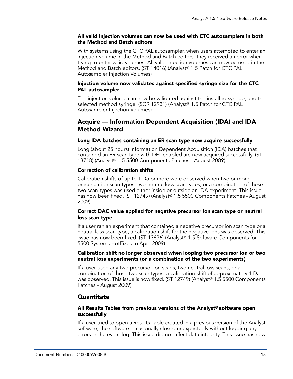## All valid injection volumes can now be used with CTC autosamplers in both the Method and Batch editors

With systems using the CTC PAL autosampler, when users attempted to enter an injection volume in the Method and Batch editors, they received an error when trying to enter valid volumes. All valid injection volumes can now be used in the Method and Batch editors. (ST 14016) (Analyst® 1.5 Patch for CTC PAL Autosampler Injection Volumes)

## Injection volume now validates against specified syringe size for the CTC PAL autosampler

The injection volume can now be validated against the installed syringe, and the selected method syringe. (SCR 12931) (Analyst® 1.5 Patch for CTC PAL Autosampler Injection Volumes)

## <span id="page-12-0"></span>Acquire — Information Dependent Acquisition (IDA) and IDA Method Wizard

## Long IDA batches containing an ER scan type now acquire successfully

Long (about 25 hours) Information Dependent Acquisition (IDA) batches that contained an ER scan type with DFT enabled are now acquired successfully. (ST 13718) (Analyst® 1.5 5500 Components Patches - August 2009)

#### Correction of calibration shifts

Calibration shifts of up to 1 Da or more were observed when two or more precursor ion scan types, two neutral loss scan types, or a combination of these two scan types was used either inside or outside an IDA experiment. This issue has now been fixed. (ST 12749) (Analyst® 1.5 5500 Components Patches - August 2009)

## Correct DAC value applied for negative precursor ion scan type or neutral loss scan type

If a user ran an experiment that contained a negative precursor ion scan type or a neutral loss scan type, a calibration shift for the negative ions was observed. This issue has now been fixed. (ST 13636) (Analyst® 1.5 Software Components for 5500 Systems HotFixes to April 2009)

#### Calibration shift no longer observed when looping two precursor ion or two neutral loss experiments (or a combination of the two experiments)

If a user used any two precursor ion scans, two neutral loss scans, or a combination of those two scan types, a calibration shift of approximately 1 Da was observed. This issue is now fixed. (ST 12749) (Analyst<sup>®</sup> 1.5 5500 Components Patches - August 2009)

## <span id="page-12-1"></span>**Quantitate**

#### All Results Tables from previous versions of the Analyst® software open successfully

If a user tried to open a Results Table created in a previous version of the Analyst software, the software occasionally closed unexpectedly without logging any errors in the event log. This issue did not affect data integrity. This issue has now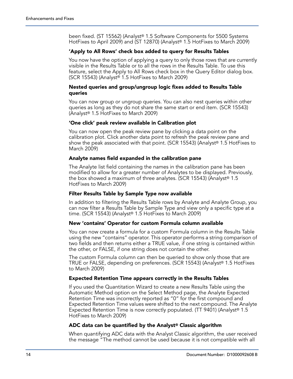been fixed. (ST 15562) (Analyst® 1.5 Software Components for 5500 Systems HotFixes to April 2009) and (ST 12870) (Analyst® 1.5 HotFixes to March 2009)

## 'Apply to All Rows' check box added to query for Results Tables

You now have the option of applying a query to only those rows that are currently visible in the Results Table or to all the rows in the Results Table. To use this feature, select the Apply to All Rows check box in the Query Editor dialog box. (SCR 15543) (Analyst® 1.5 HotFixes to March 2009)

## Nested queries and group/ungroup logic fixes added to Results Table queries

You can now group or ungroup queries. You can also nest queries within other queries as long as they do not share the same start or end item. (SCR 15543) (Analyst® 1.5 HotFixes to March 2009)

## 'One click' peak review available in Calibration plot

You can now open the peak review pane by clicking a data point on the calibration plot. Click another data point to refresh the peak review pane and show the peak associated with that point. (SCR 15543) (Analyst® 1.5 HotFixes to March 2009)

## Analyte names field expanded in the calibration pane

The Analyte list field containing the names in the calibration pane has been modified to allow for a greater number of Analytes to be displayed. Previously, the box showed a maximum of three analytes. (SCR 15543) (Analyst® 1.5 HotFixes to March 2009)

## Filter Results Table by Sample Type now available

In addition to filtering the Results Table rows by Analyte and Analyte Group, you can now filter a Results Table by Sample Type and view only a specific type at a time. (SCR 15543) (Analyst® 1.5 HotFixes to March 2009)

## New 'contains' Operator for custom Formula column available

You can now create a formula for a custom Formula column in the Results Table using the new "contains" operator. This operator performs a string comparison of two fields and then returns either a TRUE value, if one string is contained within the other, or FALSE, if one string does not contain the other.

The custom Formula column can then be queried to show only those that are TRUE or FALSE, depending on preferences. (SCR 15543) (Analyst® 1.5 HotFixes to March 2009)

## Expected Retention Time appears correctly in the Results Tables

If you used the Quantitation Wizard to create a new Results Table using the Automatic Method option on the Select Method page, the Analyte Expected Retention Time was incorrectly reported as "0" for the first compound and Expected Retention Time values were shifted to the next compound. The Analyte Expected Retention Time is now correctly populated. (TT 9401) (Analyst® 1.5 HotFixes to March 2009)

## ADC data can be quantified by the Analyst® Classic algorithm

When quantifying ADC data with the Analyst Classic algorithm, the user received the message "The method cannot be used because it is not compatible with all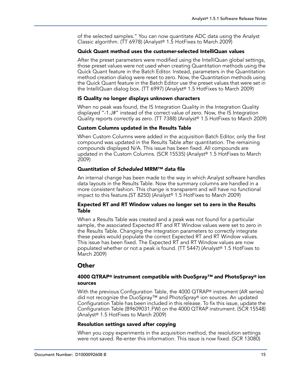of the selected samples." You can now quantitate ADC data using the Analyst Classic algorithm. (TT 6978) (Analyst® 1.5 HotFixes to March 2009)

### Quick Quant method uses the customer-selected IntelliQuan values

After the preset parameters were modified using the IntelliQuan global settings, those preset values were not used when creating Quantitation methods using the Quick Quant feature in the Batch Editor. Instead, parameters in the Quantitation method creation dialog were reset to zero. Now, the Quantitation methods using the Quick Quant feature in the Batch Editor use the preset values that were set in the IntelliQuan dialog box. (TT 6997) (Analyst® 1.5 HotFixes to March 2009)

#### IS Quality no longer displays unknown characters

When no peak was found, the IS Integration Quality in the Integration Quality displayed "-1.J#" instead of the correct value of zero. Now, the IS Integration Quality reports correctly as zero. (TT 7388) (Analyst® 1.5 HotFixes to March 2009)

#### Custom Columns updated in the Results Table

When Custom Columns were added in the acquisition Batch Editor, only the first compound was updated in the Results Table after quantitation. The remaining compounds displayed N/A. This issue has been fixed. All compounds are updated in the Custom Columns. (SCR 15535) (Analyst® 1.5 HotFixes to March 2009)

### Quantitation of *Scheduled* MRM™ data file

An internal change has been made to the way in which Analyst software handles data layouts in the Results Table. Now the summary columns are handled in a more consistent fashion. This change is transparent and will have no functional impact to this feature.(ST 8250) (Analyst® 1.5 HotFixes to March 2009)

## Expected RT and RT Window values no longer set to zero in the Results Table

When a Results Table was created and a peak was not found for a particular sample, the associated Expected RT and RT Window values were set to zero in the Results Table. Changing the integration parameters to correctly integrate these peaks would populate the correct Expected RT and RT Window values. This issue has been fixed. The Expected RT and RT Window values are now populated whether or not a peak is found. (TT 5447) (Analyst® 1.5 HotFixes to March 2009)

## <span id="page-14-0"></span>**Other**

#### 4000 QTRAP® instrument compatible with DuoSpray™ and PhotoSpray® ion sources

With the previous Configuration Table, the 4000 QTRAP® instrument (AR series) did not recognize the DuoSpray™ and PhotoSpray® ion sources. An updated Configuration Table has been included in this release. To fix this issue, update the Configuration Table (B9609031.FW) on the 4000 QTRAP instrument. (SCR 15548) (Analyst® 1.5 HotFixes to March 2009)

#### Resolution settings saved after copying

When you copy experiments in the acquisition method, the resolution settings were not saved. Re-enter this information. This issue is now fixed. (SCR 13080)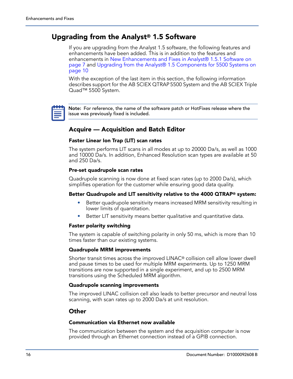## <span id="page-15-0"></span>Upgrading from the Analyst® 1.5 Software

If you are upgrading from the Analyst 1.5 software, the following features and enhancements have been added. This is in addition to the features and enhancements in [New Enhancements and Fixes in Analyst® 1.5.1 Software on](#page-6-1)  [page 7](#page-6-1) and [Upgrading from the Analyst® 1.5 Components for 5500 Systems on](#page-9-1)  [page 10](#page-9-1)

With the exception of the last item in this section, the following information describes support for the AB SCIEX QTRAP 5500 System and the AB SCIEX Triple Quad™ 5500 System.

Note: For reference, the name of the software patch or HotFixes release where the issue was previously fixed is included.

## <span id="page-15-1"></span>Acquire — Acquisition and Batch Editor

#### Faster Linear Ion Trap (LIT) scan rates

The system performs LIT scans in all modes at up to 20000 Da/s, as well as 1000 and 10000 Da/s. In addition, Enhanced Resolution scan types are available at 50 and 250 Da/s.

#### Pre-set quadrupole scan rates

Quadrupole scanning is now done at fixed scan rates (up to 2000 Da/s), which simplifies operation for the customer while ensuring good data quality.

#### Better Quadrupole and LIT sensitivity relative to the 4000 QTRAP® system:

- Better quadrupole sensitivity means increased MRM sensitivity resulting in lower limits of quantitation.
- Better LIT sensitivity means better qualitative and quantitative data.

#### Faster polarity switching

The system is capable of switching polarity in only 50 ms, which is more than 10 times faster than our existing systems.

#### Quadrupole MRM improvements

Shorter transit times across the improved LINAC® collision cell allow lower dwell and pause times to be used for multiple MRM experiments. Up to 1250 MRM transitions are now supported in a single experiment, and up to 2500 MRM transitions using the Scheduled MRM algorithm.

#### Quadrupole scanning improvements

The improved LINAC collision cell also leads to better precursor and neutral loss scanning, with scan rates up to 2000 Da/s at unit resolution.

## <span id="page-15-2"></span>Other

#### Communication via Ethernet now available

The communication between the system and the acquisition computer is now provided through an Ethernet connection instead of a GPIB connection.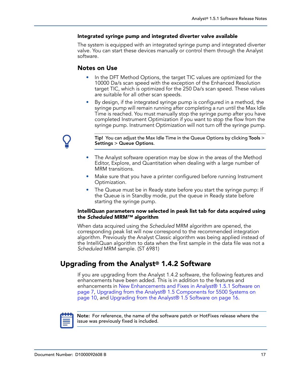#### Integrated syringe pump and integrated diverter valve available

The system is equipped with an integrated syringe pump and integrated diverter valve. You can start these devices manually or control them through the Analyst software.

## <span id="page-16-0"></span>Notes on Use

- In the DFT Method Options, the target TIC values are optimized for the 10000 Da/s scan speed with the exception of the Enhanced Resolution target TIC, which is optimized for the 250 Da/s scan speed. These values are suitable for all other scan speeds.
- By design, if the integrated syringe pump is configured in a method, the syringe pump will remain running after completing a run until the Max Idle Time is reached. You must manually stop the syringe pump after you have completed Instrument Optimization if you want to stop the flow from the syringe pump. Instrument Optimization will not turn off the syringe pump.



Tip! You can adjust the Max Idle Time in the Queue Options by clicking Tools > Settings > Queue Options.

- The Analyst software operation may be slow in the areas of the Method Editor, Explore, and Quantitation when dealing with a large number of MRM transitions.
- Make sure that you have a printer configured before running Instrument Optimization.
- The Queue must be in Ready state before you start the syringe pump: If the Queue is in Standby mode, put the queue in Ready state before starting the syringe pump.

### IntelliQuan parameters now selected in peak list tab for data acquired using the *Scheduled* MRM™ algorithm

When data acquired using the *Scheduled* MRM algorithm are opened, the corresponding peak list will now correspond to the recommended integration algorithm. Previously the Analyst Classic algorithm was being applied instead of the IntelliQuan algorithm to data when the first sample in the data file was not a *Scheduled* MRM sample. (ST 6981)

## <span id="page-16-1"></span>Upgrading from the Analyst® 1.4.2 Software

If you are upgrading from the Analyst 1.4.2 software, the following features and enhancements have been added. This is in addition to the features and enhancements in [New Enhancements and Fixes in Analyst® 1.5.1 Software on](#page-6-1)  [page 7](#page-6-1), [Upgrading from the Analyst® 1.5 Components for 5500 Systems on](#page-9-1)  [page 10](#page-9-1), and [Upgrading from the Analyst® 1.5 Software on page 16.](#page-15-0)



Note: For reference, the name of the software patch or HotFixes release where the issue was previously fixed is included.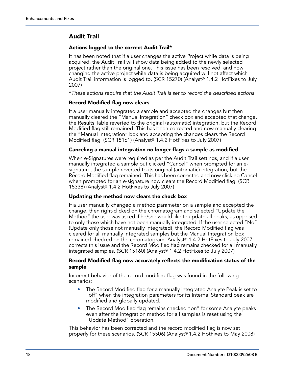## <span id="page-17-0"></span>Audit Trail

## Actions logged to the correct Audit Trail\*

It has been noted that if a user changes the active Project while data is being acquired, the Audit Trail will show data being added to the newly selected project rather than the original one. This issue has been resolved, and now changing the active project while data is being acquired will not affect which Audit Trail information is logged to. (SCR 15270) (Analyst® 1.4.2 HotFixes to July 2007)

\**These actions require that the Audit Trail is set to record the described actions*

## Record Modified flag now clears

If a user manually integrated a sample and accepted the changes but then manually cleared the "Manual Integration" check box and accepted that change, the Results Table reverted to the original (automatic) integration, but the Record Modified flag still remained. This has been corrected and now manually clearing the "Manual Integration" box and accepting the changes clears the Record Modified flag. (SCR 15161) (Analyst® 1.4.2 HotFixes to July 2007)

## Canceling a manual integration no longer flags a sample as modified

When e-Signatures were required as per the Audit Trail settings, and if a user manually integrated a sample but clicked "Cancel" when prompted for an esignature, the sample reverted to its original (automatic) integration, but the Record Modified flag remained. This has been corrected and now clicking Cancel when prompted for an e-signature now clears the Record Modified flag. (SCR 15338) (Analyst® 1.4.2 HotFixes to July 2007)

## Updating the method now clears the check box

If a user manually changed a method parameter on a sample and accepted the change, then right-clicked on the chromatogram and selected "Update the Method" the user was asked if he/she would like to update all peaks, as opposed to only those which have not been manually integrated. If the user selected "No" (Update only those not manually integrated), the Record Modified flag was cleared for all manually integrated samples but the Manual Integration box remained checked on the chromatogram. Analyst® 1.4.2 HotFixes to July 2007 corrects this issue and the Record Modified flag remains checked for all manually integrated samples. (SCR 15160) (Analyst® 1.4.2 HotFixes to July 2007)

## Record Modified flag now accurately reflects the modification status of the sample

Incorrect behavior of the record modified flag was found in the following scenarios:

- The Record Modified flag for a manually integrated Analyte Peak is set to "off" when the integration parameters for its Internal Standard peak are modified and globally updated.
- The Record Modified flag remains checked "on" for some Analyte peaks even after the integration method for all samples is reset using the "Update Method" operation.

This behavior has been corrected and the record modified flag is now set properly for these scenarios. (SCR 15506) (Analyst® 1.4.2 HotFixes to May 2008)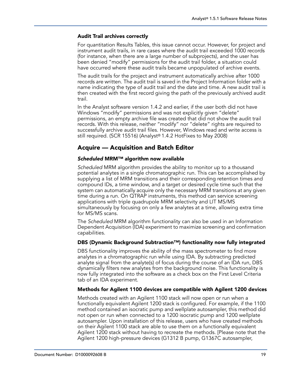#### Audit Trail archives correctly

For quantitation Results Tables, this issue cannot occur. However, for project and instrument audit trails, in rare cases where the audit trail exceeded 1000 records (for instance, when there are a large number of subprojects), and the user has been denied "modify" permissions for the audit trail folder, a situation could have occurred where these audit trails became unpopulated of archive events.

The audit trails for the project and instrument automatically archive after 1000 records are written. The audit trail is saved in the Project Information folder with a name indicating the type of audit trail and the date and time. A new audit trail is then created with the first record giving the path of the previously archived audit trail.

In the Analyst software version 1.4.2 and earlier, if the user both did not have Windows "modify" permissions and was not explicitly given "delete" permissions, an empty archive file was created that did not show the audit trail records. With this release, neither "modify" nor "delete" rights are required to successfully archive audit trail files. However, Windows read and write access is still required. (SCR 15516) (Analyst® 1.4.2 HotFixes to May 2008)

## <span id="page-18-0"></span>Acquire — Acquisition and Batch Editor

#### *Scheduled* MRM™ algorithm now available

*Scheduled* MRM algorithm provides the ability to monitor up to a thousand potential analytes in a single chromatographic run. This can be accomplished by supplying a list of MRM transitions and their corresponding retention times and compound IDs, a time window, and a target or desired cycle time such that the system can automatically acquire only the necessary MRM transitions at any given time during a run. On QTRAP instruments, this method can service screening applications with triple quadrupole MRM selectivity and LIT MS/MS simultaneously by focusing on only a few analytes at a time, allowing extra time for MS/MS scans.

The *Scheduled* MRM algorithm functionality can also be used in an Information Dependent Acquisition (IDA) experiment to maximize screening and confirmation capabilities.

#### DBS (Dynamic Background Subtraction™) functionality now fully integrated

DBS functionality improves the ability of the mass spectrometer to find more analytes in a chromatographic run while using IDA. By subtracting predicted analyte signal from the analyte(s) of focus during the course of an IDA run, DBS dynamically filters new analytes from the background noise. This functionality is now fully integrated into the software as a check box on the First Level Criteria tab of an IDA experiment.

## Methods for Agilent 1100 devices are compatible with Agilent 1200 devices

Methods created with an Agilent 1100 stack will now open or run when a functionally equivalent Agilent 1200 stack is configured. For example, if the 1100 method contained an isocratic pump and wellplate autosampler, this method did not open or run when connected to a 1200 isocratic pump and 1200 wellplate autosampler. Upon installation of this release, users who have created methods on their Agilent 1100 stack are able to use them on a functionally equivalent Agilent 1200 stack without having to recreate the methods. [Please note that the Agilent 1200 high-pressure devices (G1312 B pump, G1367C autosampler,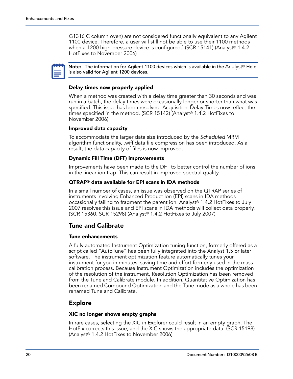G1316 C column oven) are not considered functionally equivalent to any Agilent 1100 device. Therefore, a user will still not be able to use their 1100 methods when a 1200 high-pressure device is configured.] (SCR 15141) (Analyst® 1.4.2 HotFixes to November 2006)

Note: The information for Agilent 1100 devices which is available in the Analyst® Help is also valid for Agilent 1200 devices.

## Delay times now properly applied

When a method was created with a delay time greater than 30 seconds and was run in a batch, the delay times were occasionally longer or shorter than what was specified. This issue has been resolved. Acquisition Delay Times now reflect the times specified in the method. (SCR 15142) (Analyst® 1.4.2 HotFixes to November 2006)

## Improved data capacity

To accommodate the larger data size introduced by the *Scheduled* MRM algorithm functionality, .wiff data file compression has been introduced. As a result, the data capacity of files is now improved.

## Dynamic Fill Time (DFT) improvements

Improvements have been made to the DFT to better control the number of ions in the linear ion trap. This can result in improved spectral quality.

## QTRAP® data available for EPI scans in IDA methods

In a small number of cases, an issue was observed on the QTRAP series of instruments involving Enhanced Product Ion (EPI) scans in IDA methods occasionally failing to fragment the parent ion. Analyst® 1.4.2 HotFixes to July 2007 resolves this issue and EPI scans in IDA methods will collect data properly. (SCR 15360, SCR 15298) (Analyst® 1.4.2 HotFixes to July 2007)

## <span id="page-19-0"></span>Tune and Calibrate

## Tune enhancements

A fully automated Instrument Optimization tuning function, formerly offered as a script called "AutoTune" has been fully integrated into the Analyst 1.5 or later software. The instrument optimization feature automatically tunes your instrument for you in minutes, saving time and effort formerly used in the mass calibration process. Because Instrument Optimization includes the optimization of the resolution of the instrument, Resolution Optimization has been removed from the Tune and Calibrate module. In addition, Quantitative Optimization has been renamed Compound Optimization and the Tune mode as a whole has been renamed Tune and Calibrate.

## <span id="page-19-1"></span>Explore

## XIC no longer shows empty graphs

In rare cases, selecting the XIC in Explorer could result in an empty graph. The HotFix corrects this issue, and the XIC shows the appropriate data. (SCR 15198) (Analyst® 1.4.2 HotFixes to November 2006)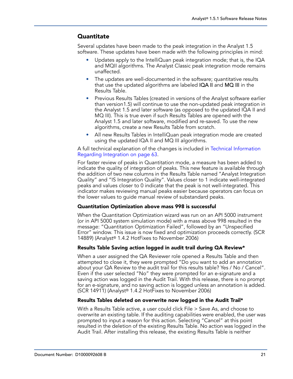## <span id="page-20-0"></span>Quantitate

Several updates have been made to the peak integration in the Analyst 1.5 software. These updates have been made with the following principles in mind:

- Updates apply to the IntelliQuan peak integration mode; that is, the IQA and MQII algorithms. The Analyst Classic peak integration mode remains unaffected.
- The updates are well-documented in the software; quantitative results that use the updated algorithms are labeled IQA II and MQ III in the Results Table.
- Previous Results Tables (created in versions of the Analyst software earlier than version1.5) will continue to use the non-updated peak integration in the Analyst 1.5 and later software (as opposed to the updated IQA II and MQ III). This is true even if such Results Tables are opened with the Analyst 1.5 and later software, modified and re-saved. To use the new algorithms, create a new Results Table from scratch.
- All new Results Tables in IntelliQuan peak integration mode are created using the updated IQA II and MQ III algorithms.

A full technical explanation of the changes is included in [Technical Information](#page-62-1)  [Regarding Integration on page 63.](#page-62-1)

For faster review of peaks in Quantitation mode, a measure has been added to indicate the quality of integration of peaks. This new feature is available through the addition of two new columns in the Results Table named "Analyst Integration Quality" and "IS Integration Quality". Values closer to 1 indicate well-integrated peaks and values closer to 0 indicate that the peak is not well-integrated. This indicator makes reviewing manual peaks easier because operators can focus on the lower values to guide manual review of substandard peaks.

## Quantitation Optimization above mass 998 is successful

When the Quantitation Optimization wizard was run on an API 5000 instrument (or in API 5000 system simulation mode) with a mass above 998 resulted in the message: "Quantitation Optimization Failed", followed by an "Unspecified Error" window. This issue is now fixed and optimization proceeds correctly. (SCR 14889) (Analyst® 1.4.2 HotFixes to November 2006)

## Results Table Saving action logged in audit trail during QA Review\*

When a user assigned the QA Reviewer role opened a Results Table and then attempted to close it, they were prompted "Do you want to add an annotation about your QA Review to the audit trail for this results table? Yes / No / Cancel". Even if the user selected "No" they were prompted for an e-signature and a saving action was logged in the Audit Trail. With this release, there is no prompt for an e-signature, and no saving action is logged unless an annotation is added. (SCR 14911) (Analyst® 1.4.2 HotFixes to November 2006)

## Results Tables deleted on overwrite now logged in the Audit Trail\*

With a Results Table active, a user could click File > Save As, and choose to overwrite an existing table. If the auditing capabilities were enabled, the user was prompted to input a reason for this action. Selecting "Cancel" at this point resulted in the deletion of the existing Results Table. No action was logged in the Audit Trail. After installing this release, the existing Results Table is neither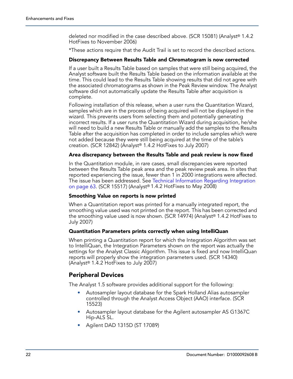deleted nor modified in the case described above. (SCR 15081) (Analyst® 1.4.2 HotFixes to November 2006)

\*These actions require that the Audit Trail is set to record the described actions.

## Discrepancy Between Results Table and Chromatogram is now corrected

If a user built a Results Table based on samples that were still being acquired, the Analyst software built the Results Table based on the information available at the time. This could lead to the Results Table showing results that did not agree with the associated chromatograms as shown in the Peak Review window. The Analyst software did not automatically update the Results Table after acquisition is complete.

Following installation of this release, when a user runs the Quantitation Wizard, samples which are in the process of being acquired will not be displayed in the wizard. This prevents users from selecting them and potentially generating incorrect results. If a user runs the Quantitation Wizard during acquisition, he/she will need to build a new Results Table or manually add the samples to the Results Table after the acquisition has completed in order to include samples which were not added because they were still being acquired at the time of the table's creation. (SCR 12842) (Analyst® 1.4.2 HotFixes to July 2007)

## Area discrepancy between the Results Table and peak review is now fixed

In the Quantitation module, in rare cases, small discrepancies were reported between the Results Table peak area and the peak review peak area. In sites that reported experiencing the issue, fewer than 1 in 2000 integrations were affected. The issue has been addressed. See [Technical Information Regarding Integration](#page-62-1)  [on page 63](#page-62-1). (SCR 15517) (Analyst® 1.4.2 HotFixes to May 2008)

## Smoothing Value on reports is now printed

When a Quantitation report was printed for a manually integrated report, the smoothing value used was not printed on the report. This has been corrected and the smoothing value used is now shown. (SCR 14974) (Analyst® 1.4.2 HotFixes to July 2007)

## Quantitation Parameters prints correctly when using IntelliQuan

When printing a Quantitation report for which the Integration Algorithm was set to IntelliQuan, the Integration Parameters shown on the report was actually the settings for the Analyst Classic Algorithm. This issue is fixed and now IntelliQuan reports will properly show the integration parameters used. (SCR 14340) (Analyst® 1.4.2 HotFixes to July 2007)

## <span id="page-21-0"></span>Peripheral Devices

The Analyst 1.5 software provides additional support for the following:

- Autosampler layout database for the Spark Holland Alias autosampler controlled through the Analyst Access Object (AAO) interface. (SCR 15523)
- Autosampler layout database for the Agilent autosampler AS G1367C Hip-ALS SL.
- Agilent DAD 1315D (ST 17089)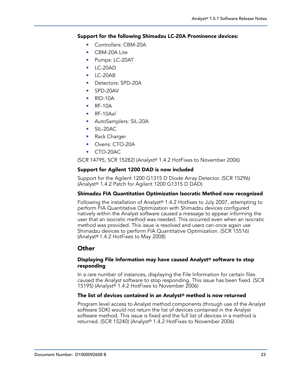### Support for the following Shimadzu LC-20A Prominence devices:

- Controllers: CBM-20A
- CBM-20A Lite
- Pumps: LC-20AT
- LC-20AD
- LC-20AB
- Detectors: SPD-20A
- SPD-20AV
- RID-10A
- RF-10A
- RF-10Axl
- AutoSamplers: SIL-20A
- SIL-20AC
- Rack Charger
- Ovens: CTO-20A
- $\bullet$  CTO-20AC

(SCR 14795, SCR 15282) (Analyst® 1.4.2 HotFixes to November 2006)

## Support for Agilent 1200 DAD is now included

Support for the Agilent 1200 G1315 D Diode Array Detector. (SCR 15296) (Analyst® 1.4.2 Patch for Agilent 1200 G1315 D DAD)

#### Shimadzu FIA Quantitation Optimization Isocratic Method now recognized

Following the installation of Analyst® 1.4.2 Hotfixes to July 2007, attempting to perform FIA Quantitative Optimization with Shimadzu devices configured natively within the Analyst software caused a message to appear informing the user that an isocratic method was needed. This occurred even when an isocratic method was provided. This issue is resolved and users can once again use Shimadzu devices to perform FIA Quantitative Optimization. (SCR 15516) (Analyst® 1.4.2 HotFixes to May 2008)

## <span id="page-22-0"></span>Other

## Displaying File Information may have caused Analyst® software to stop responding

In a rare number of instances, displaying the File Information for certain files caused the Analyst software to stop responding. This issue has been fixed. (SCR 15195) (Analyst® 1.4.2 HotFixes to November 2006)

#### The list of devices contained in an Analyst® method is now returned

Program level access to Analyst method components (through use of the Analyst software SDK) would not return the list of devices contained in the Analyst software method. This issue is fixed and the full list of devices in a method is returned. (SCR 15240) (Analyst® 1.4.2 HotFixes to November 2006)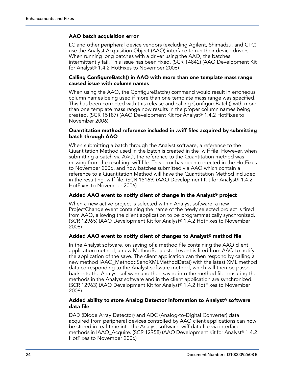## AAO batch acquisition error

LC and other peripheral device vendors (excluding Agilent, Shimadzu, and CTC) use the Analyst Acquisition Object (AAO) interface to run their device drivers. When running long batches with a driver using the AAO, the batches intermittently fail. This issue has been fixed. (SCR 14842) (AAO Development Kit for Analyst® 1.4.2 HotFixes to November 2006)

## Calling ConfigureBatch() in AAO with more than one template mass range caused issue with column names

When using the AAO, the ConfigureBatch() command would result in erroneous column names being used if more than one template mass range was specified. This has been corrected with this release and calling ConfigureBatch() with more than one template mass range now results in the proper column names being created. (SCR 15187) (AAO Development Kit for Analyst® 1.4.2 HotFixes to November 2006)

## Quantitation method reference included in .wiff files acquired by submitting batch through AAO

When submitting a batch through the Analyst software, a reference to the Quantitation Method used in the batch is created in the .wiff file. However, when submitting a batch via AAO, the reference to the Quantitation method was missing from the resulting .wiff file. This error has been corrected in the HotFixes to November 2006, and now batches submitted via AAO which contain a reference to a Quantitation Method will have the Quantitation Method included in the resulting .wiff file. (SCR 15169) (AAO Development Kit for Analyst® 1.4.2 HotFixes to November 2006)

## Added AAO event to notify client of change in the Analyst® project

When a new active project is selected within Analyst software, a new ProjectChange event containing the name of the newly selected project is fired from AAO, allowing the client application to be programmatically synchronized. (SCR 12965) (AAO Development Kit for Analyst® 1.4.2 HotFixes to November 2006)

## Added AAO event to notify client of changes to Analyst® method file

In the Analyst software, on saving of a method file containing the AAO client application method, a new MethodRequested event is fired from AAO to notify the application of the save. The client application can then respond by calling a new method IAAO\_Method::SendXMLMethodData() with the latest XML method data corresponding to the Analyst software method, which will then be passed back into the Analyst software and then saved into the method file, ensuring the methods in the Analyst software and in the client application are synchronized. (SCR 12963) (AAO Development Kit for Analyst® 1.4.2 HotFixes to November 2006)

## Added ability to store Analog Detector information to Analyst® software data file

DAD (Diode Array Detector) and ADC (Analog-to-Digital Converter) data acquired from peripheral devices controlled by AAO client applications can now be stored in real-time into the Analyst software .wiff data file via interface methods in IAAO\_Acquire. (SCR 12958) (AAO Development Kit for Analyst® 1.4.2 HotFixes to November 2006)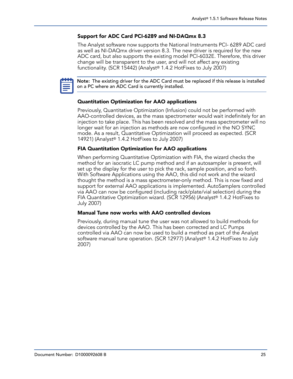### Support for ADC Card PCI-6289 and NI-DAQmx 8.3

The Analyst software now supports the National Instruments PCI- 6289 ADC card as well as NI-DAQmx driver version 8.3. The new driver is required for the new ADC card, but also supports the existing model PCI-6032E. Therefore, this driver change will be transparent to the user, and will not affect any existing functionality. (SCR 15442) (Analyst® 1.4.2 HotFixes to July 2007)



Note: The existing driver for the ADC Card must be replaced if this release is installed on a PC where an ADC Card is currently installed.

#### Quantitation Optimization for AAO applications

Previously, Quantitative Optimization (Infusion) could not be performed with AAO-controlled devices, as the mass spectrometer would wait indefinitely for an injection to take place. This has been resolved and the mass spectrometer will no longer wait for an injection as methods are now configured in the NO SYNC mode. As a result, Quantitative Optimization will proceed as expected. (SCR 14921) (Analyst® 1.4.2 HotFixes to July 2007)

#### FIA Quantitation Optimization for AAO applications

When performing Quantitative Optimization with FIA, the wizard checks the method for an isocratic LC pump method and if an autosampler is present, will set up the display for the user to pick the rack, sample position, and so forth. With Software Applications using the AAO, this did not work and the wizard thought the method is a mass spectrometer-only method. This is now fixed and support for external AAO applications is implemented. AutoSamplers controlled via AAO can now be configured (including rack/plate/vial selection) during the FIA Quantitative Optimization wizard. (SCR 12956) (Analyst® 1.4.2 HotFixes to July 2007)

## Manual Tune now works with AAO controlled devices

Previously, during manual tune the user was not allowed to build methods for devices controlled by the AAO. This has been corrected and LC Pumps controlled via AAO can now be used to build a method as part of the Analyst software manual tune operation. (SCR 12977) (Analyst® 1.4.2 HotFixes to July 2007)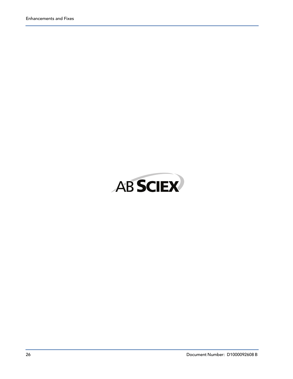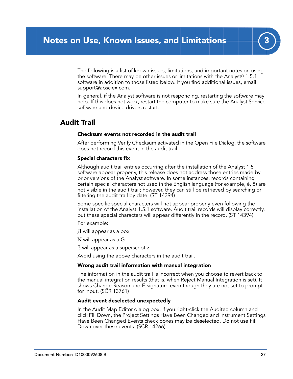<span id="page-26-2"></span><span id="page-26-0"></span>The following is a list of known issues, limitations, and important notes on using the software. There may be other issues or limitations with the Analyst® 1.5.1 software in addition to those listed below. If you find additional issues, email support@absciex.com.

In general, if the Analyst software is not responding, restarting the software may help. If this does not work, restart the computer to make sure the Analyst Service software and device drivers restart.

## <span id="page-26-1"></span>Audit Trail

## Checksum events not recorded in the audit trail

After performing Verify Checksum activated in the Open File Dialog, the software does not record this event in the audit trail.

## Special characters fix

Although audit trail entries occurring after the installation of the Analyst 1.5 software appear properly, this release does not address those entries made by prior versions of the Analyst software. In some instances, records containing certain special characters not used in the English language (for example, é, ö) are not visible in the audit trail; however, they can still be retrieved by searching or filtering the audit trail by date. (ST 14394)

Some specific special characters will not appear properly even following the installation of the Analyst 1.5.1 software. Audit trail records will display correctly, but these special characters will appear differently in the record. (ST 14394)

For example:

Д will appear as a box

Ň will appear as a G

ß will appear as a superscript z

Avoid using the above characters in the audit trail.

## Wrong audit trail information with manual integration

The information in the audit trail is incorrect when you choose to revert back to the manual integration results (that is, when Reject Manual Integration is set). It shows Change Reason and E-signature even though they are not set to prompt for input. (SCR 13761)

## Audit event deselected unexpectedly

In the Audit Map Editor dialog box, if you right-click the Audited column and click Fill Down, the Project Settings Have Been Changed and Instrument Settings Have Been Changed Events check boxes may be deselected. Do not use Fill Down over these events. (SCR 14266)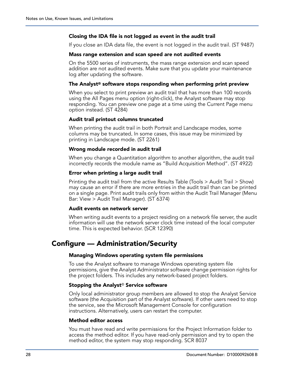## Closing the IDA file is not logged as event in the audit trail

If you close an IDA data file, the event is not logged in the audit trail. (ST 9487)

### Mass range extension and scan speed are not audited events

On the 5500 series of instruments, the mass range extension and scan speed addition are not audited events. Make sure that you update your maintenance log after updating the software.

### The Analyst® software stops responding when performing print preview

When you select to print preview an audit trail that has more than 100 records using the All Pages menu option (right-click), the Analyst software may stop responding. You can preview one page at a time using the Current Page menu option instead. (ST 4284)

#### Audit trail printout columns truncated

When printing the audit trail in both Portrait and Landscape modes, some columns may be truncated. In some cases, this issue may be minimized by printing in Landscape mode. (ST 2261)

## Wrong module recorded in audit trail

When you change a Quantitation algorithm to another algorithm, the audit trail incorrectly records the module name as "Build Acquisition Method". (ST 4922)

#### Error when printing a large audit trail

Printing the audit trail from the active Results Table (Tools > Audit Trail > Show) may cause an error if there are more entries in the audit trail than can be printed on a single page. Print audit trails only from within the Audit Trail Manager (Menu Bar: View > Audit Trail Manager). (ST 6374)

#### Audit events on network server

When writing audit events to a project residing on a network file server, the audit information will use the network server clock time instead of the local computer time. This is expected behavior. (SCR 12390)

# <span id="page-27-0"></span>Configure — Administration/Security

#### Managing Windows operating system file permissions

To use the Analyst software to manage Windows operating system file permissions, give the Analyst Administrator software change permission rights for the project folders. This includes any network-based project folders.

#### Stopping the Analyst® Service software

Only local administrator group members are allowed to stop the Analyst Service software (the Acquisition part of the Analyst software). If other users need to stop the service, see the Microsoft Management Console for configuration instructions. Alternatively, users can restart the computer.

#### Method editor access

You must have read and write permissions for the Project Information folder to access the method editor. If you have read-only permission and try to open the method editor, the system may stop responding. SCR 8037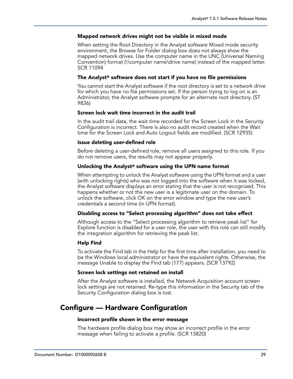## Mapped network drives might not be visible in mixed mode

When setting the Root Directory in the Analyst software Mixed mode security environment, the Browse for Folder dialog box does not always show the mapped network drives. Use the computer name in the UNC (Universal Naming Convention) format (\\computer name\drive name) instead of the mapped letter. SCR 11094

#### The Analyst® software does not start if you have no file permissions

You cannot start the Analyst software if the root directory is set to a network drive for which you have no file permissions set. If the person trying to log on is an Administrator, the Analyst software prompts for an alternate root directory. (ST 9836)

#### Screen lock wait time incorrect in the audit trail

In the audit trail data, the wait time recorded for the Screen Lock in the Security Configuration is incorrect. There is also no audit record created when the Wait time for the Screen Lock and Auto Logout fields are modified. (SCR 12935)

#### Issue deleting user-defined role

Before deleting a user-defined role, remove all users assigned to this role. If you do not remove users, the results may not appear properly.

#### Unlocking the Analyst® software using the UPN name format

When attempting to unlock the Analyst software using the UPN format and a user (with unlocking rights) who was not logged into the software when it was locked, the Analyst software displays an error stating that the user is not recognized. This happens whether or not the new user is a legitimate user on the domain. To unlock the software, click OK on the error window and type the new user's credentials a second time (in UPN format).

## Disabling access to "Select processing algorithm" does not take effect

Although access to the "Select processing algorithm to retrieve peak list" for Explore function is disabled for a user role, the user with this role can still modify the integration algorithm for retrieving the peak list.

## Help Find

To activate the Find tab in the Help for the first time after installation, you need to be the Windows local administrator or have the equivalent rights. Otherwise, the message Unable to display the Find tab (177) appears. (SCR 13792)

## Screen lock settings not retained on install

After the Analyst software is installed, the Network Acquisition account screen lock settings are not retained. Re-type this information in the Security tab of the Security Configuration dialog box is lost.

# <span id="page-28-0"></span>Configure — Hardware Configuration

#### Incorrect profile shown in the error message

The hardware profile dialog box may show an incorrect profile in the error message when failing to activate a profile. (SCR 13820)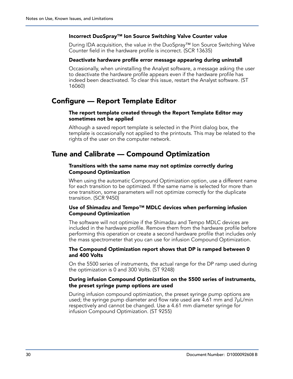## Incorrect DuoSpray™ Ion Source Switching Valve Counter value

During IDA acquisition, the value in the DuoSpray™ Ion Source Switching Valve Counter field in the hardware profile is incorrect. (SCR 13635)

## Deactivate hardware profile error message appearing during uninstall

Occasionally, when uninstalling the Analyst software, a message asking the user to deactivate the hardware profile appears even if the hardware profile has indeed been deactivated. To clear this issue, restart the Analyst software. (ST 16060)

# <span id="page-29-0"></span>Configure — Report Template Editor

## The report template created through the Report Template Editor may sometimes not be applied

Although a saved report template is selected in the Print dialog box, the template is occasionally not applied to the printouts. This may be related to the rights of the user on the computer network.

# <span id="page-29-1"></span>Tune and Calibrate — Compound Optimization

## Transitions with the same name may not optimize correctly during Compound Optimization

When using the automatic Compound Optimization option, use a different name for each transition to be optimized. If the same name is selected for more than one transition, some parameters will not optimize correctly for the duplicate transition. (SCR 9450)

## Use of Shimadzu and Tempo™ MDLC devices when performing infusion Compound Optimization

The software will not optimize if the Shimadzu and Tempo MDLC devices are included in the hardware profile. Remove them from the hardware profile before performing this operation or create a second hardware profile that includes only the mass spectrometer that you can use for infusion Compound Optimization.

## The Compound Optimization report shows that DP is ramped between 0 and 400 Volts

On the 5500 series of instruments, the actual range for the DP ramp used during the optimization is 0 and 300 Volts. (ST 9248)

## During infusion Compound Optimization on the 5500 series of instruments, the preset syringe pump options are used

During infusion compound optimization, the preset syringe pump options are used; the syringe pump diameter and flow rate used are 4.61 mm and 7μL/min respectively and cannot be changed. Use a 4.61 mm diameter syringe for infusion Compound Optimization. (ST 9255)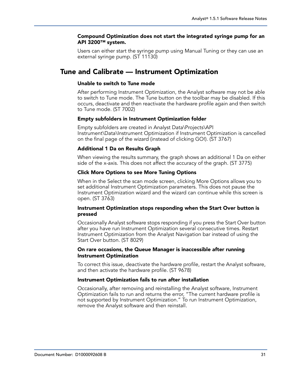## Compound Optimization does not start the integrated syringe pump for an API 3200™ system.

Users can either start the syringe pump using Manual Tuning or they can use an external syringe pump. (ST 11130)

# <span id="page-30-0"></span>Tune and Calibrate — Instrument Optimization

## Unable to switch to Tune mode

After performing Instrument Optimization, the Analyst software may not be able to switch to Tune mode. The Tune button on the toolbar may be disabled. If this occurs, deactivate and then reactivate the hardware profile again and then switch to Tune mode. (ST 7002)

## Empty subfolders in Instrument Optimization folder

Empty subfolders are created in Analyst Data\Projects\API Instrument\Data\Instrument Optimization if Instrument Optimization is cancelled on the final page of the wizard (instead of clicking GO!). (ST 3767)

## Additional 1 Da on Results Graph

When viewing the results summary, the graph shows an additional 1 Da on either side of the x-axis. This does not affect the accuracy of the graph. (ST 3775)

## Click More Options to see More Tuning Options

When in the Select the scan mode screen, clicking More Options allows you to set additional Instrument Optimization parameters. This does not pause the Instrument Optimization wizard and the wizard can continue while this screen is open. (ST 3763)

## Instrument Optimization stops responding when the Start Over button is pressed

Occasionally Analyst software stops responding if you press the Start Over button after you have run Instrument Optimization several consecutive times. Restart Instrument Optimization from the Analyst Navigation bar instead of using the Start Over button. (ST 8029)

## On rare occasions, the Queue Manager is inaccessible after running Instrument Optimization

To correct this issue, deactivate the hardware profile, restart the Analyst software, and then activate the hardware profile. (ST 9678)

## Instrument Optimization fails to run after installation

Occasionally, after removing and reinstalling the Analyst software, Instrument Optimization fails to run and returns the error, "The current hardware profile is not supported by Instrument Optimization." To run Instrument Optimization, remove the Analyst software and then reinstall.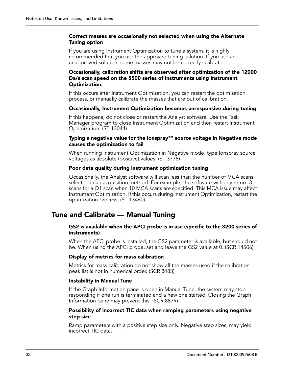## Correct masses are occasionally not selected when using the Alternate Tuning option

If you are using Instrument Optimization to tune a system, it is highly recommended that you use the approved tuning solution. If you use an unapproved solution, some masses may not be correctly calibrated.

## Occasionally, calibration shifts are observed after optimization of the 12000 Da/s scan speed on the 5500 series of instruments using Instrument Optimization.

If this occurs after Instrument Optimization, you can restart the optimization process, or manually calibrate the masses that are out of calibration.

## Occasionally, Instrument Optimization becomes unresponsive during tuning

If this happens, do not close or restart the Analyst software. Use the Task Manager program to close Instrument Optimization and then restart Instrument Optimization. (ST 13044)

## Typing a negative value for the Ionspray™ source voltage in Negative mode causes the optimization to fail

When running Instrument Optimization in Negative mode, type Ionspray source voltages as absolute (positive) values. (ST 3778)

## Poor data quality during instrument optimization tuning

Occasionally, the Analyst software will scan less than the number of MCA scans selected in an acquisition method. For example, the software will only return 3 scans for a Q1 scan when 10 MCA scans are specified. This MCA issue may affect Instrument Optimization. If this occurs during Instrument Optimization, restart the optimization process. (ST 13460)

# <span id="page-31-0"></span>Tune and Calibrate — Manual Tuning

## GS2 is available when the APCI probe is in use (specific to the 3200 series of instruments)

When the APCI probe is installed, the GS2 parameter is available, but should not be. When using the APCI probe, set and leave the GS2 value at 0. (SCR 14506)

## Display of metrics for mass calibration

Metrics for mass calibration do not show all the masses used if the calibration peak list is not in numerical order. (SCR 8483)

## Instability in Manual Tune

If the Graph Information pane is open in Manual Tune, the system may stop responding if one run is terminated and a new one started. Closing the Graph Information pane may prevent this. (SCR 8879)

## Possibility of incorrect TIC data when ramping parameters using negative step size

Ramp parameters with a positive step size only. Negative step sizes, may yield incorrect TIC data.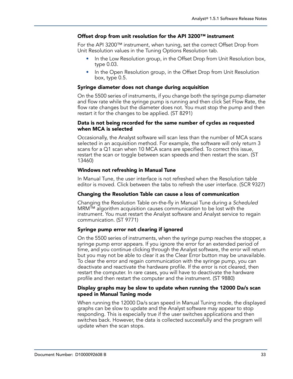#### Offset drop from unit resolution for the API 3200™ instrument

For the API 3200™ instrument, when tuning, set the correct Offset Drop from Unit Resolution values in the Tuning Options Resolution tab.

- In the Low Resolution group, in the Offset Drop from Unit Resolution box, type 0.03.
- In the Open Resolution group, in the Offset Drop from Unit Resolution box, type 0.5.

#### Syringe diameter does not change during acquisition

On the 5500 series of instruments, if you change both the syringe pump diameter and flow rate while the syringe pump is running and then click Set Flow Rate, the flow rate changes but the diameter does not. You must stop the pump and then restart it for the changes to be applied. (ST 8291)

## Data is not being recorded for the same number of cycles as requested when MCA is selected

Occasionally, the Analyst software will scan less than the number of MCA scans selected in an acquisition method. For example, the software will only return 3 scans for a Q1 scan when 10 MCA scans are specified. To correct this issue, restart the scan or toggle between scan speeds and then restart the scan. (ST 13460)

#### Windows not refreshing in Manual Tune

In Manual Tune, the user interface is not refreshed when the Resolution table editor is moved. Click between the tabs to refresh the user interface. (SCR 9327)

#### Changing the Resolution Table can cause a loss of communication

Changing the Resolution Table on-the-fly in Manual Tune during a *Scheduled* MRM™ algorithm acquisition causes communication to be lost with the instrument. You must restart the Analyst software and Analyst service to regain communication. (ST 9771)

#### Syringe pump error not clearing if ignored

On the 5500 series of instruments, when the syringe pump reaches the stopper, a syringe pump error appears. If you ignore the error for an extended period of time, and you continue clicking through the Analyst software, the error will return but you may not be able to clear it as the Clear Error button may be unavailable. To clear the error and regain communication with the syringe pump, you can deactivate and reactivate the hardware profile. If the error is not cleared, then restart the computer. In rare cases, you will have to deactivate the hardware profile and then restart the computer and the instrument. (ST 9880)

#### Display graphs may be slow to update when running the 12000 Da/s scan speed in Manual Tuning mode

When running the 12000 Da/s scan speed in Manual Tuning mode, the displayed graphs can be slow to update and the Analyst software may appear to stop responding. This is especially true if the user switches applications and then switches back. However, the data is collected successfully and the program will update when the scan stops.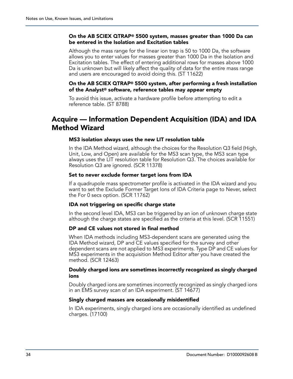## On the AB SCIEX QTRAP® 5500 system, masses greater than 1000 Da can be entered in the Isolation and Excitation tables

Although the mass range for the linear ion trap is 50 to 1000 Da, the software allows you to enter values for masses greater than 1000 Da in the Isolation and Excitation tables. The effect of entering additional rows for masses above 1000 Da is unknown but will likely affect the quality of data for the entire mass range and users are encouraged to avoid doing this. (ST 11622)

## On the AB SCIEX QTRAP® 5500 system, after performing a fresh installation of the Analyst® software, reference tables may appear empty

To avoid this issue, activate a hardware profile before attempting to edit a reference table. (ST 8788)

# <span id="page-33-0"></span>Acquire — Information Dependent Acquisition (IDA) and IDA Method Wizard

## MS3 isolation always uses the new LIT resolution table

In the IDA Method wizard, although the choices for the Resolution Q3 field (High, Unit, Low, and Open) are available for the MS3 scan type, the MS3 scan type always uses the LIT resolution table for Resolution Q3. The choices available for Resolution Q3 are ignored. (SCR 11378)

## Set to never exclude former target ions from IDA

If a quadrupole mass spectrometer profile is activated in the IDA wizard and you want to set the Exclude Former Target Ions of IDA Criteria page to Never, select the For 0 secs option. (SCR 11762)

## IDA not triggering on specific charge state

In the second level IDA, MS3 can be triggered by an ion of unknown charge state although the charge states are specified as the criteria at this level. (SCR 11551)

## DP and CE values not stored in final method

When IDA methods including MS3-dependent scans are generated using the IDA Method wizard, DP and CE values specified for the survey and other dependent scans are not applied to MS3 experiments. Type DP and CE values for MS3 experiments in the acquisition Method Editor after you have created the method. (SCR 12463)

## Doubly charged ions are sometimes incorrectly recognized as singly charged ions

Doubly charged ions are sometimes incorrectly recognized as singly charged ions in an EMS survey scan of an IDA experiment. (ST 14677)

## Singly charged masses are occasionally misidentified

In IDA experiments, singly charged ions are occasionally identified as undefined charges. (17100)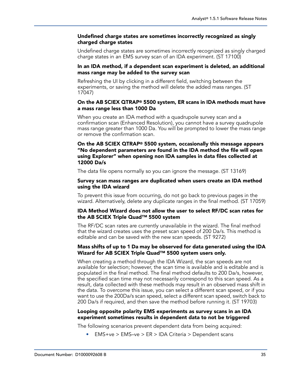## Undefined charge states are sometimes incorrectly recognized as singly charged charge states

Undefined charge states are sometimes incorrectly recognized as singly charged charge states in an EMS survey scan of an IDA experiment. (ST 17100)

## In an IDA method, if a dependent scan experiment is deleted, an additional mass range may be added to the survey scan

Refreshing the UI by clicking in a different field, switching between the experiments, or saving the method will delete the added mass ranges. (ST 17047)

## On the AB SCIEX QTRAP® 5500 system, ER scans in IDA methods must have a mass range less than 1000 Da

When you create an IDA method with a quadrupole survey scan and a confirmation scan (Enhanced Resolution), you cannot have a survey quadrupole mass range greater than 1000 Da. You will be prompted to lower the mass range or remove the confirmation scan.

## On the AB SCIEX QTRAP® 5500 system, occasionally this message appears "No dependent parameters are found in the IDA method the file will open using Explorer" when opening non IDA samples in data files collected at 12000 Da/s

The data file opens normally so you can ignore the message. (ST 13169)

## Survey scan mass ranges are duplicated when users create an IDA method using the IDA wizard

To prevent this issue from occurring, do not go back to previous pages in the wizard. Alternatively, delete any duplicate ranges in the final method. (ST 17059)

## IDA Method Wizard does not allow the user to select RF/DC scan rates for the AB SCIEX Triple Quad™ 5500 system

The RF/DC scan rates are currently unavailable in the wizard. The final method that the wizard creates uses the preset scan speed of 200 Da/s. This method is editable and can be saved with the new scan speeds. (ST 9272)

## Mass shifts of up to 1 Da may be observed for data generated using the IDA Wizard for AB SCIEX Triple Quad™ 5500 system users only.

When creating a method through the IDA Wizard, the scan speeds are not available for selection; however, the scan time is available and is editable and is populated in the final method. The final method defaults to 200 Da/s, however, the specified scan time may not necessarily correspond to this scan speed. As a result, data collected with these methods may result in an observed mass shift in the data. To overcome this issue, you can select a different scan speed, or if you want to use the 200Da/s scan speed, select a different scan speed, switch back to 200 Da/s if required, and then save the method before running it. (ST 19703)

## Looping opposite polarity EMS experiments as survey scans in an IDA experiment sometimes results in dependent data to not be triggered

The following scenarios prevent dependent data from being acquired:

• EMS+ve > EMS-ve > ER > IDA Criteria > Dependent scans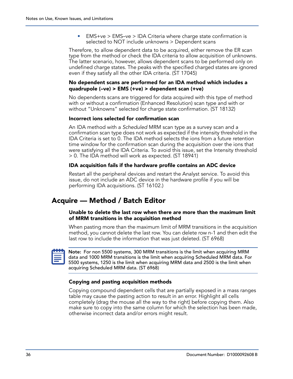$EMS+ve > EMS-ve > IDA$  Criteria where charge state confirmation is selected to NOT include unknowns > Dependent scans

Therefore, to allow dependent data to be acquired, either remove the ER scan type from the method or check the IDA criteria to allow acquisition of unknowns. The latter scenario, however, allows dependent scans to be performed only on undefined charge states. The peaks with the specified charged states are ignored even if they satisfy all the other IDA criteria. (ST 17045)

## No dependent scans are performed for an IDA method which includes a quadrupole (–ve) > EMS (+ve) > dependent scan (+ve)

No dependents scans are triggered for data acquired with this type of method with or without a confirmation (Enhanced Resolution) scan type and with or without "Unknowns" selected for charge state confirmation. (ST 18132)

## Incorrect ions selected for confirmation scan

An IDA method with a *Scheduled* MRM scan type as a survey scan and a confirmation scan type does not work as expected if the intensity threshold in the IDA Criteria is set to 0. The IDA method selects the ions from a future retention time window for the confirmation scan during the acquisition over the ions that were satisfying all the IDA Criteria. To avoid this issue, set the Intensity threshold > 0. The IDA method will work as expected. (ST 18941)

## IDA acquisition fails if the hardware profile contains an ADC device

Restart all the peripheral devices and restart the Analyst service. To avoid this issue, do not include an ADC device in the hardware profile if you will be performing IDA acquisitions. (ST 16102.)

# <span id="page-35-0"></span>Acquire — Method / Batch Editor

## Unable to delete the last row when there are more than the maximum limit of MRM transitions in the acquisition method

When pasting more than the maximum limit of MRM transitions in the acquisition method, you cannot delete the last row. You can delete row n-1 and then edit the last row to include the information that was just deleted. (ST 6968)

Note: For non 5500 systems, 300 MRM transitions is the limit when acquiring MRM data and 1000 MRM transitions is the limit when acquiring Scheduled MRM data. For 5500 systems, 1250 is the limit when acquiring MRM data and 2500 is the limit when acquiring Scheduled MRM data. (ST 6968)

## Copying and pasting acquisition methods

Copying compound dependent cells that are partially exposed in a mass ranges table may cause the pasting action to result in an error. Highlight all cells completely (drag the mouse all the way to the right) before copying them. Also make sure to copy into the same column for which the selection has been made, otherwise incorrect data and/or errors might result.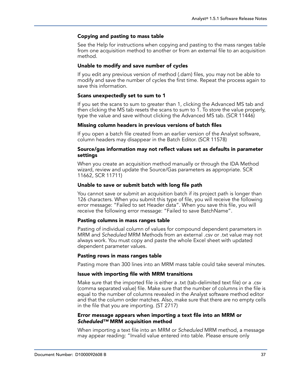#### Copying and pasting to mass table

See the Help for instructions when copying and pasting to the mass ranges table from one acquisition method to another or from an external file to an acquisition method.

#### Unable to modify and save number of cycles

If you edit any previous version of method (.dam) files, you may not be able to modify and save the number of cycles the first time. Repeat the process again to save this information.

#### Scans unexpectedly set to sum to 1

If you set the scans to sum to greater than 1, clicking the Advanced MS tab and then clicking the MS tab resets the scans to sum to 1. To store the value properly, type the value and save without clicking the Advanced MS tab. (SCR 11446)

#### Missing column headers in previous versions of batch files

If you open a batch file created from an earlier version of the Analyst software, column headers may disappear in the Batch Editor. (SCR 11578)

#### Source/gas information may not reflect values set as defaults in parameter settings

When you create an acquisition method manually or through the IDA Method wizard, review and update the Source/Gas parameters as appropriate. SCR 11662, SCR 11711)

#### Unable to save or submit batch with long file path

You cannot save or submit an acquisition batch if its project path is longer than 126 characters. When you submit this type of file, you will receive the following error message: "Failed to set Header data". When you save this file, you will receive the following error message: "Failed to save BatchName".

#### Pasting columns in mass ranges table

Pasting of individual column of values for compound dependent parameters in MRM and *Scheduled* MRM Methods from an external .csv or .txt value may not always work. You must copy and paste the whole Excel sheet with updated dependent parameter values.

#### Pasting rows in mass ranges table

Pasting more than 300 lines into an MRM mass table could take several minutes.

#### Issue with importing file with MRM transitions

Make sure that the imported file is either a .txt (tab-delimited text file) or a .csv (comma separated value) file. Make sure that the number of columns in the file is equal to the number of columns revealed in the Analyst software method editor and that the column order matches. Also, make sure that there are no empty cells in the file that you are importing. (ST 2717)

#### Error message appears when importing a text file into an MRM or *Scheduled™* MRM acquisition method

When importing a text file into an MRM or *Scheduled* MRM method, a message may appear reading: "Invalid value entered into table. Please ensure only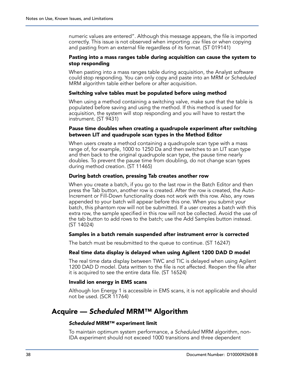numeric values are entered". Although this message appears, the file is imported correctly. This issue is not observed when importing .csv files or when copying and pasting from an external file regardless of its format. (ST 019141)

## Pasting into a mass ranges table during acquisition can cause the system to stop responding

When pasting into a mass ranges table during acquisition, the Analyst software could stop responding. You can only copy and paste into an MRM or *Scheduled* MRM algorithm table either before or after acquisition.

### Switching valve tables must be populated before using method

When using a method containing a switching valve, make sure that the table is populated before saving and using the method. If this method is used for acquisition, the system will stop responding and you will have to restart the instrument. (ST 9431)

## Pause time doubles when creating a quadrupole experiment after switching between LIT and quadrupole scan types in the Method Editor

When users create a method containing a quadrupole scan type with a mass range of, for example, 1000 to 1250 Da and then switches to an LIT scan type and then back to the original quadrupole scan type, the pause time nearly doubles. To prevent the pause time from doubling, do not change scan types during method creation. (ST 11465)

## During batch creation, pressing Tab creates another row

When you create a batch, if you go to the last row in the Batch Editor and then press the Tab button, another row is created. After the row is created, the Auto-Increment or Fill-Down functionality does not work with this row. Also, any rows appended to your batch will appear before this one. When you submit your batch, this phantom row will not be submitted. If a user creates a batch with this extra row, the sample specified in this row will not be collected. Avoid the use of the tab button to add rows to the batch; use the Add Samples button instead. (ST 14024)

## Samples in a batch remain suspended after instrument error is corrected

The batch must be resubmitted to the queue to continue. (ST 16247)

## Real time data display is delayed when using Agilent 1200 DAD D model

The real time data display between TWC and TIC is delayed when using Agilent 1200 DAD D model. Data written to the file is not affected. Reopen the file after it is acquired to see the entire data file. (ST 16524)

## Invalid ion energy in EMS scans

Although Ion Energy 1 is accessible in EMS scans, it is not applicable and should not be used. (SCR 11764)

# <span id="page-37-0"></span>Acquire — *Scheduled* MRM™ Algorithm

## *Scheduled* MRM™ experiment limit

To maintain optimum system performance, a *Scheduled* MRM algorithm, non-IDA experiment should not exceed 1000 transitions and three dependent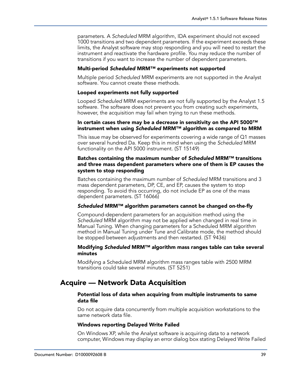parameters. A *Scheduled* MRM algorithm, IDA experiment should not exceed 1000 transitions and two dependent parameters. If the experiment exceeds these limits, the Analyst software may stop responding and you will need to restart the instrument and reactivate the hardware profile. You may reduce the number of transitions if you want to increase the number of dependent parameters.

#### Multi-period *Scheduled* MRM™ experiments not supported

Multiple period *Scheduled* MRM experiments are not supported in the Analyst software. You cannot create these methods.

#### Looped experiments not fully supported

Looped *Scheduled* MRM experiments are not fully supported by the Analyst 1.5 software. The software does not prevent you from creating such experiments, however, the acquisition may fail when trying to run these methods.

#### In certain cases there may be a decrease in sensitivity on the API 5000™ instrument when using *Scheduled* MRM™ algorithm as compared to MRM

This issue may be observed for experiments covering a wide range of Q1 masses over several hundred Da. Keep this in mind when using the *Scheduled* MRM functionality on the API 5000 instrument. (ST 15149)

## Batches containing the maximum number of *Scheduled* MRM™ transitions and three mass dependent parameters where one of them is EP causes the system to stop responding

Batches containing the maximum number of *Scheduled* MRM transitions and 3 mass dependent parameters, DP, CE, and EP, causes the system to stop responding. To avoid this occurring, do not include EP as one of the mass dependent parameters. (ST 16066)

#### *Scheduled* MRM™ algorithm parameters cannot be changed on-the-fly

Compound-dependent parameters for an acquisition method using the *Scheduled* MRM algorithm may not be applied when changed in real time in Manual Tuning. When changing parameters for a Scheduled MRM algorithm method in Manual Tuning under Tune and Calibrate mode, the method should be stopped between adjustments and then restarted. (ST 9436)

#### Modifying *Scheduled* MRM™ algorithm mass ranges table can take several minutes

Modifying a Scheduled MRM algorithm mass ranges table with 2500 MRM transitions could take several minutes. (ST 5251)

## <span id="page-38-0"></span>Acquire — Network Data Acquisition

#### Potential loss of data when acquiring from multiple instruments to same data file

Do not acquire data concurrently from multiple acquisition workstations to the same network data file.

## Windows reporting Delayed Write Failed

On Windows XP, while the Analyst software is acquiring data to a network computer, Windows may display an error dialog box stating Delayed Write Failed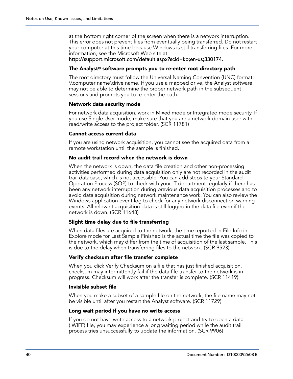at the bottom right corner of the screen when there is a network interruption. This error does not prevent files from eventually being transferred. Do not restart your computer at this time because Windows is still transferring files. For more information, see the Microsoft Web site at:

## http://support.microsoft.com/default.aspx?scid=kb;en-us;330174.

## The Analyst® software prompts you to re-enter root directory path

The root directory must follow the Universal Naming Convention (UNC) format: \\computer name\drive name. If you use a mapped drive, the Analyst software may not be able to determine the proper network path in the subsequent sessions and prompts you to re-enter the path.

## Network data security mode

For network data acquisition, work in Mixed mode or Integrated mode security. If you use Single User mode, make sure that you are a network domain user with read/write access to the project folder. (SCR 11781)

## Cannot access current data

If you are using network acquisition, you cannot see the acquired data from a remote workstation until the sample is finished.

## No audit trail record when the network is down

When the network is down, the data file creation and other non-processing activities performed during data acquisition only are not recorded in the audit trail database, which is not accessible. You can add steps to your Standard Operation Process (SOP) to check with your IT department regularly if there has been any network interruption during previous data acquisition processes and to avoid data acquisition during network maintenance work. You can also review the Windows application event log to check for any network disconnection warning events. All relevant acquisition data is still logged in the data file even if the network is down. (SCR 11648)

## Slight time delay due to file transferring

When data files are acquired to the network, the time reported in File Info in Explore mode for Last Sample Finished is the actual time the file was copied to the network, which may differ from the time of acquisition of the last sample. This is due to the delay when transferring files to the network. (SCR 9523)

## Verify checksum after file transfer complete

When you click Verify Checksum on a file that has just finished acquisition, checksum may intermittently fail if the data file transfer to the network is in progress. Checksum will work after the transfer is complete. (SCR 11419)

## Invisible subset file

When you make a subset of a sample file on the network, the file name may not be visible until after you restart the Analyst software. (SCR 11729)

## Long wait period if you have no write access

If you do not have write access to a network project and try to open a data (.WIFF) file, you may experience a long waiting period while the audit trail process tries unsuccessfully to update the information. (SCR 9906)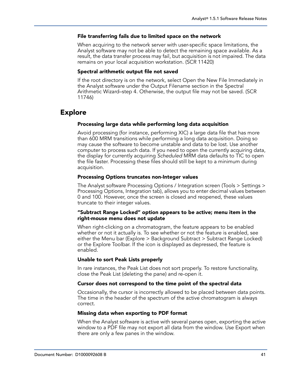#### File transferring fails due to limited space on the network

When acquiring to the network server with user-specific space limitations, the Analyst software may not be able to detect the remaining space available. As a result, the data transfer process may fail, but acquisition is not impaired. The data remains on your local acquisition workstation. (SCR 11420)

#### Spectral arithmetic output file not saved

If the root directory is on the network, select Open the New File Immediately in the Analyst software under the Output Filename section in the Spectral Arithmetic Wizard–step 4. Otherwise, the output file may not be saved. (SCR 11746)

## <span id="page-40-0"></span>Explore

#### Processing large data while performing long data acquisition

Avoid processing (for instance, performing XIC) a large data file that has more than 600 MRM transitions while performing a long data acquisition. Doing so may cause the software to become unstable and data to be lost. Use another computer to process such data. If you need to open the currently acquiring data, the display for currently acquiring *Scheduled* MRM data defaults to TIC to open the file faster. Processing these files should still be kept to a minimum during acquisition.

#### Processing Options truncates non-Integer values

The Analyst software Processing Options / Integration screen (Tools > Settings > Processing Options, Integration tab), allows you to enter decimal values between 0 and 100. However, once the screen is closed and reopened, these values truncate to their integer values.

#### "Subtract Range Locked" option appears to be active; menu item in the right-mouse menu does not update

When right-clicking on a chromatogram, the feature appears to be enabled whether or not it actually is. To see whether or not the feature is enabled, see either the Menu bar (Explore > Background Subtract > Subtract Range Locked) or the Explore Toolbar. If the icon is displayed as depressed, the feature is enabled.

#### Unable to sort Peak Lists properly

In rare instances, the Peak List does not sort properly. To restore functionality, close the Peak List (deleting the pane) and re-open it.

#### Cursor does not correspond to the time point of the spectral data

Occasionally, the cursor is incorrectly allowed to be placed between data points. The time in the header of the spectrum of the active chromatogram is always correct.

#### Missing data when exporting to PDF format

When the Analyst software is active with several panes open, exporting the active window to a PDF file may not export all data from the window. Use Export when there are only a few panes in the window.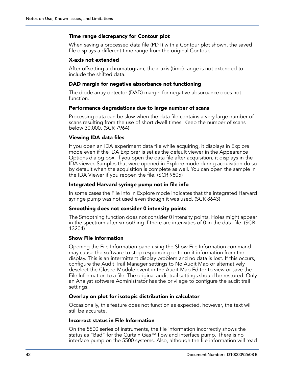## Time range discrepancy for Contour plot

When saving a processed data file (PDT) with a Contour plot shown, the saved file displays a different time range from the original Contour.

## X-axis not extended

After offsetting a chromatogram, the x-axis (time) range is not extended to include the shifted data.

## DAD margin for negative absorbance not functioning

The diode array detector (DAD) margin for negative absorbance does not function.

## Performance degradations due to large number of scans

Processing data can be slow when the data file contains a very large number of scans resulting from the use of short dwell times. Keep the number of scans below 30,000. (SCR 7964)

## Viewing IDA data files

If you open an IDA experiment data file while acquiring, it displays in Explore mode even if the IDA Explorer is set as the default viewer in the Appearance Options dialog box. If you open the data file after acquisition, it displays in the IDA viewer. Samples that were opened in Explore mode during acquisition do so by default when the acquisition is complete as well. You can open the sample in the IDA Viewer if you reopen the file. (SCR 9805)

## Integrated Harvard syringe pump not in file info

In some cases the File Info in Explore mode indicates that the integrated Harvard syringe pump was not used even though it was used. (SCR 8643)

## Smoothing does not consider 0 intensity points

The Smoothing function does not consider 0 intensity points. Holes might appear in the spectrum after smoothing if there are intensities of 0 in the data file. (SCR 13204)

## Show File Information

Opening the File Information pane using the Show File Information command may cause the software to stop responding or to omit information from the display. This is an intermittent display problem and no data is lost. If this occurs, configure the Audit Trail Manager settings to No Audit Map or alternatively deselect the Closed Module event in the Audit Map Editor to view or save the File Information to a file. The original audit trail settings should be restored. Only an Analyst software Administrator has the privilege to configure the audit trail settings.

## Overlay on plot for isotopic distribution in calculator

Occasionally, this feature does not function as expected, however, the text will still be accurate.

## Incorrect status in File Information

On the 5500 series of instruments, the file information incorrectly shows the status as "Bad" for the Curtain Gas™ flow and interface pump. There is no interface pump on the 5500 systems. Also, although the file information will read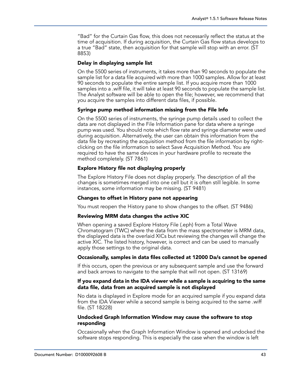"Bad" for the Curtain Gas flow, this does not necessarily reflect the status at the time of acquisition. If during acquisition, the Curtain Gas flow status develops to a true "Bad" state, then acquisition for that sample will stop with an error. (ST 8853)

## Delay in displaying sample list

On the 5500 series of instruments, it takes more than 90 seconds to populate the sample list for a data file acquired with more than 1000 samples. Allow for at least 90 seconds to populate the entire sample list. If you acquire more than 1000 samples into a .wiff file, it will take at least 90 seconds to populate the sample list. The Analyst software will be able to open the file; however, we recommend that you acquire the samples into different data files, if possible.

## Syringe pump method information missing from the File Info

On the 5500 series of instruments, the syringe pump details used to collect the data are not displayed in the File Information pane for data where a syringe pump was used. You should note which flow rate and syringe diameter were used during acquisition. Alternatively, the user can obtain this information from the data file by recreating the acquisition method from the file information by rightclicking on the file information to select Save Acquisition Method. You are required to have the same devices in your hardware profile to recreate the method completely. (ST 7861)

## Explore History file not displaying properly

The Explore History File does not display properly. The description of all the changes is sometimes merged into one cell but it is often still legible. In some instances, some information may be missing. (ST 9481)

## Changes to offset in History pane not appearing

You must reopen the History pane to show changes to the offset. (ST 9486)

## Reviewing MRM data changes the active XIC

When opening a saved Explore History File (.eph) from a Total Wave Chromatogram (TWC) where the data from the mass spectrometer is MRM data, the displayed data is the overlaid XICs but reviewing the changes will change the active XIC. The listed history, however, is correct and can be used to manually apply those settings to the original data.

## Occasionally, samples in data files collected at 12000 Da/s cannot be opened

If this occurs, open the previous or any subsequent sample and use the forward and back arrows to navigate to the sample that will not open. (ST 13169)

## If you expand data in the IDA viewer while a sample is acquiring to the same data file, data from an acquired sample is not displayed

No data is displayed in Explore mode for an acquired sample if you expand data from the IDA Viewer while a second sample is being acquired to the same .wiff file. (ST 18228)

## Undocked Graph Information Window may cause the software to stop responding

Occasionally when the Graph Information Window is opened and undocked the software stops responding. This is especially the case when the window is left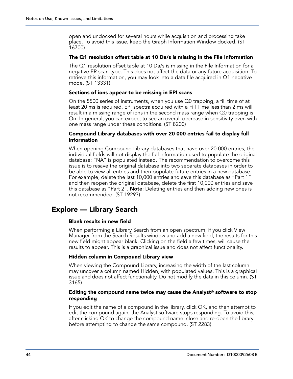open and undocked for several hours while acquisition and processing take place. To avoid this issue, keep the Graph Information Window docked. (ST 16700)

#### The Q1 resolution offset table at 10 Da/s is missing in the File Information

The Q1 resolution offset table at 10 Da/s is missing in the File Information for a negative ER scan type. This does not affect the data or any future acquisition. To retrieve this information, you may look into a data file acquired in Q1 negative mode. (ST 13331)

## Sections of ions appear to be missing in EPI scans

On the 5500 series of instruments, when you use Q0 trapping, a fill time of at least 20 ms is required. EPI spectra acquired with a Fill Time less than 2 ms will result in a missing range of ions in the second mass range when Q0 trapping is On. In general, you can expect to see an overall decrease in sensitivity even with one mass range under these conditions. (ST 8200)

## Compound Library databases with over 20 000 entries fail to display full information

When opening Compound Library databases that have over 20 000 entries, the individual fields will not display the full information used to populate the original database; "NA" is populated instead. The recommendation to overcome this issue is to resave the original database into two separate databases in order to be able to view all entries and then populate future entries in a new database. For example, delete the last 10,000 entries and save this database as "Part 1" and then reopen the original database, delete the first 10,000 entries and save this database as "Part 2". Note: Deleting entries and then adding new ones is not recommended. (ST 19297)

# <span id="page-43-0"></span>Explore — Library Search

## Blank results in new field

When performing a Library Search from an open spectrum, if you click View Manager from the Search Results window and add a new field, the results for this new field might appear blank. Clicking on the field a few times, will cause the results to appear. This is a graphical issue and does not affect functionality.

## Hidden column in Compound Library view

When viewing the Compound Library, increasing the width of the last column may uncover a column named Hidden, with populated values. This is a graphical issue and does not affect functionality. Do not modify the data in this column. (ST 3165)

## Editing the compound name twice may cause the Analyst® software to stop responding

If you edit the name of a compound in the library, click OK, and then attempt to edit the compound again, the Analyst software stops responding. To avoid this, after clicking OK to change the compound name, close and re-open the library before attempting to change the same compound. (ST 2283)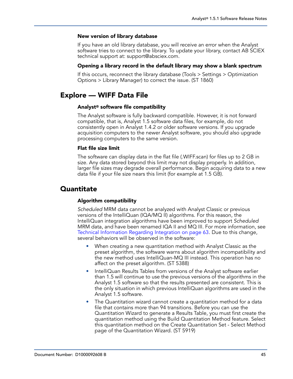#### New version of library database

If you have an old library database, you will receive an error when the Analyst software tries to connect to the library. To update your library, contact AB SCIEX technical support at: support@absciex.com.

#### Opening a library record in the default library may show a blank spectrum

If this occurs, reconnect the library database (Tools > Settings > Optimization Options > Library Manager) to correct the issue. (ST 1860)

## <span id="page-44-0"></span>Explore — WIFF Data File

#### Analyst® software file compatibility

The Analyst software is fully backward compatible. However, it is not forward compatible, that is, Analyst 1.5 software data files, for example, do not consistently open in Analyst 1.4.2 or older software versions. If you upgrade acquisition computers to the newer Analyst software, you should also upgrade processing computers to the same version.

#### Flat file size limit

The software can display data in the flat file (.WIFF.scan) for files up to 2 GB in size. Any data stored beyond this limit may not display properly. In addition, larger file sizes may degrade overall performance. Begin acquiring data to a new data file if your file size nears this limit (for example at 1.5 GB).

## <span id="page-44-1"></span>**Quantitate**

#### Algorithm compatibility

*Scheduled* MRM data cannot be analyzed with Analyst Classic or previous versions of the IntelliQuan (IQA/MQ II) algorithms. For this reason, the IntelliQuan integration algorithms have been improved to support *Scheduled* MRM data, and have been renamed IQA II and MQ III. For more information, see [Technical Information Regarding Integration on page 63](#page-62-1). Due to this change, several behaviors will be observed in the software:

- When creating a new quantitation method with Analyst Classic as the preset algorithm, the software warns about algorithm incompatibility and the new method uses IntelliQuan-MQ III instead. This operation has no affect on the preset algorithm. (ST 5388)
- IntelliQuan Results Tables from versions of the Analyst software earlier than 1.5 will continue to use the previous versions of the algorithms in the Analyst 1.5 software so that the results presented are consistent. This is the only situation in which previous IntelliQuan algorithms are used in the Analyst 1.5 software.
- The Quantitation wizard cannot create a quantitation method for a data file that contains more than 94 transitions. Before you can use the Quantitation Wizard to generate a Results Table, you must first create the quantitation method using the Build Quantitation Method feature. Select this quantitation method on the Create Quantitation Set - Select Method page of the Quantitation Wizard. (ST 5919)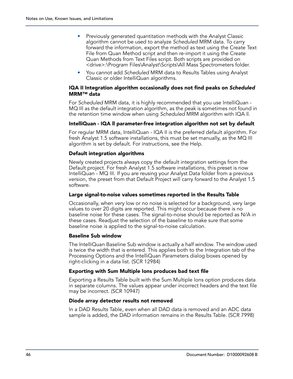- Previously generated quantitation methods with the Analyst Classic algorithm cannot be used to analyze *Scheduled* MRM data. To carry forward the information, export the method as text using the Create Text File from Quan Method script and then re-import it using the Create Quan Methods from Text Files script. Both scripts are provided on <drive>:\Program Files\Analyst\Scripts\All Mass Spectrometers folder.
- You cannot add *Scheduled* MRM data to Results Tables using Analyst Classic or older IntelliQuan algorithms.

## IQA II Integration algorithm occasionally does not find peaks on *Scheduled* MRM™ data

For *Scheduled* MRM data, it is highly recommended that you use IntelliQuan - MQ III as the default integration algorithm, as the peak is sometimes not found in the retention time window when using *Scheduled* MRM algorithm with IQA ll.

## IntelliQuan - IQA ll parameter-free integration algorithm not set by default

For regular MRM data, IntelliQuan - IQA II is the preferred default algorithm. For fresh Analyst 1.5 software installations, this must be set manually, as the MQ III algorithm is set by default. For instructions, see the Help.

## Default integration algorithms

Newly created projects always copy the default integration settings from the Default project. For fresh Analyst 1.5 software installations, this preset is now IntelliQuan - MQ III. If you are reusing your Analyst Data folder from a previous version, the preset from that Default Project will carry forward to the Analyst 1.5 software.

## Large signal-to-noise values sometimes reported in the Results Table

Occasionally, when very low or no noise is selected for a background, very large values to over 20 digits are reported. This might occur because there is no baseline noise for these cases. The signal-to-noise should be reported as N/A in these cases. Readjust the selection of the baseline to make sure that some baseline noise is applied to the signal-to-noise calculation.

## Baseline Sub window

The IntelliQuan Baseline Sub window is actually a half window. The window used is twice the width that is entered. This applies both to the Integration tab of the Processing Options and the IntelliQuan Parameters dialog boxes opened by right-clicking in a data list. (SCR 12984)

## Exporting with Sum Multiple Ions produces bad text file

Exporting a Results Table built with the Sum Multiple Ions option produces data in separate columns. The values appear under incorrect headers and the text file may be incorrect. (SCR 10947)

## Diode array detector results not removed

In a DAD Results Table, even when all DAD data is removed and an ADC data sample is added, the DAD information remains in the Results Table. (SCR 7998)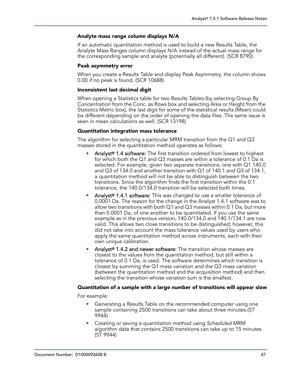#### Analyte mass range column displays N/A

If an automatic quantitation method is used to build a new Results Table, the Analyte Mass Ranges column displays N/A instead of the actual mass range for the corresponding sample and analyte (potentially all different). (SCR 8790)

#### Peak asymmetry error

When you create a Results Table and display Peak Asymmetry, the column shows 0.00 if no peak is found. (SCR 10688)

#### Inconsistent last decimal digit

When opening a Statistics table for two Results Tables (by selecting Group By Concentration from the Conc. as Rows box and selecting Area or Height from the Statistics Metric box), the last digit for some of the statistical results (Mean) could be different depending on the order of opening the data files. The same issue is seen in mean calculations as well. (SCR 13198)

#### Quantitation integration mass tolerance

The algorithm for selecting a particular MRM transition from the Q1 and Q3 masses stored in the quantitation method operates as follows:

- Analyst® 1.4 software: The first transition ordered from lowest to highest for which both the Q1 and Q3 masses are within a tolerance of 0.1 Da is selected. For example, given two separate transitions, one with Q1 140.0 and Q3 of 134.0 and another transition with Q1 of 140.1 and Q3 of 134.1, a quantitation method will not be able to distinguish between the two transitions. Since the algorithm finds the first transition within the 0.1 tolerance, the 140.0/134.0 transition will be selected both times.
- Analyst® 1.4.1 software: This was changed to use a smaller tolerance of 0.0001 Da. The reason for the change in the Analyst 1.4.1 software was to allow two transitions with both Q1 and Q3 masses within 0.1 Da, but more than 0.0001 Da, of one another to be quantitated. If you use the same example as in the previous version, 140.0/134.0 and 140.1/134.1 are now valid. This allows two close transitions to be distinguished; however, this did not take into account the mass tolerance values used by users who apply the same quantitation method across instruments, each with their own unique calibration.
- Analyst<sup>®</sup> 1.4.2 and newer software: The transition whose masses are closest to the values from the quantitation method, but still within a tolerance of 0.1 Da, is used. The software determines which transition is closest by summing the Q1 mass variation and the Q3 mass variation (between the quantitation method and the acquisition method) and then selecting the transition whose variation sum is the smallest.

#### Quantitation of a sample with a large number of transitions will appear slow

For example:

- Generating a Results Table on the recommended computer using one sample containing 2500 transitions can take about three minutes.(ST 9944)
- Creating or saving a quantitation method using *Scheduled* MRM algorithm data that contains 2500 transitions can take up to 15 minutes. (ST 9944)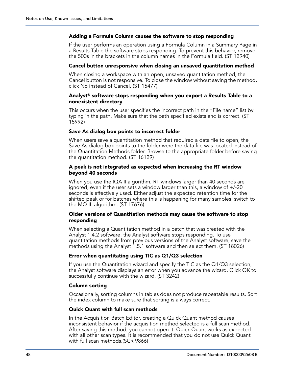## Adding a Formula Column causes the software to stop responding

If the user performs an operation using a Formula Column in a Summary Page in a Results Table the software stops responding. To prevent this behavior, remove the 500s in the brackets in the column names in the Formula field. (ST 12940)

### Cancel button unresponsive when closing an unsaved quantitation method

When closing a workspace with an open, unsaved quantitation method, the Cancel button is not responsive. To close the window without saving the method, click No instead of Cancel. (ST 15477)

#### Analyst® software stops responding when you export a Results Table to a nonexistent directory

This occurs when the user specifies the incorrect path in the "File name" list by typing in the path. Make sure that the path specified exists and is correct. (ST 15992)

## Save As dialog box points to incorrect folder

When users save a quantitation method that required a data file to open, the Save As dialog box points to the folder were the data file was located instead of the Quantitation Methods folder. Browse to the appropriate folder before saving the quantitation method. (ST 16129)

### A peak is not integrated as expected when increasing the RT window beyond 40 seconds

When you use the IQA II algorithm, RT windows larger than 40 seconds are ignored; even if the user sets a window larger than this, a window of +/-20 seconds is effectively used. Either adjust the expected retention time for the shifted peak or for batches where this is happening for many samples, switch to the MQ III algorithm. (ST 17676)

## Older versions of Quantitation methods may cause the software to stop responding

When selecting a Quantitation method in a batch that was created with the Analyst 1.4.2 software, the Analyst software stops responding. To use quantitation methods from previous versions of the Analyst software, save the methods using the Analyst 1.5.1 software and then select them. (ST 18026)

## Error when quantitating using TIC as Q1/Q3 selection

If you use the Quantitation wizard and specify the TIC as the Q1/Q3 selection, the Analyst software displays an error when you advance the wizard. Click OK to successfully continue with the wizard. (ST 3242)

## Column sorting

Occasionally, sorting columns in tables does not produce repeatable results. Sort the index column to make sure that sorting is always correct.

## Quick Quant with full scan methods

In the Acquisition Batch Editor, creating a Quick Quant method causes inconsistent behavior if the acquisition method selected is a full scan method. After saving this method, you cannot open it. Quick Quant works as expected with all other scan types. It is recommended that you do not use Quick Quant with full scan methods.(SCR 9866)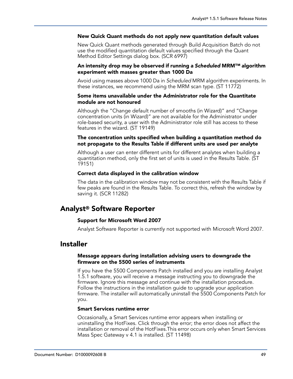## New Quick Quant methods do not apply new quantitation default values

New Quick Quant methods generated through Build Acquisition Batch do not use the modified quantitation default values specified through the Quant Method Editor Settings dialog box. (SCR 6997)

## An intensity drop may be observed if running a *Scheduled* MRM™ algorithm experiment with masses greater than 1000 Da

Avoid using masses above 1000 Da in *Scheduled* MRM algorithm experiments. In these instances, we recommend using the MRM scan type. (ST 11772)

## Some items unavailable under the Administrator role for the Quantitate module are not honoured

Although the "Change default number of smooths (in Wizard)" and "Change concentration units (in Wizard)" are not available for the Administrator under role-based security, a user with the Administrator role still has access to these features in the wizard. (ST 19149)

## The concentration units specified when building a quantitation method do not propagate to the Results Table if different units are used per analyte

Although a user can enter different units for different analytes when building a quantitation method, only the first set of units is used in the Results Table. (ST 19151)

## Correct data displayed in the calibration window

The data in the calibration window may not be consistent with the Results Table if few peaks are found in the Results Table. To correct this, refresh the window by saving it. (SCR 11282)

## <span id="page-48-0"></span>Analyst® Software Reporter

## Support for Microsoft Word 2007

Analyst Software Reporter is currently not supported with Microsoft Word 2007.

## <span id="page-48-1"></span>Installer

#### Message appears during installation advising users to downgrade the firmware on the 5500 series of instruments

If you have the 5500 Components Patch installed and you are installing Analyst 1.5.1 software, you will receive a message instructing you to downgrade the firmware. Ignore this message and continue with the installation procedure. Follow the instructions in the installation guide to upgrade your application firmware. The installer will automatically uninstall the 5500 Components Patch for you.

#### Smart Services runtime error

Occasionally, a Smart Services runtime error appears when installing or uninstalling the HotFixes. Click through the error; the error does not affect the installation or removal of the HotFixes.This error occurs only when Smart Services Mass Spec Gateway v 4.1 is installed. (ST 11498)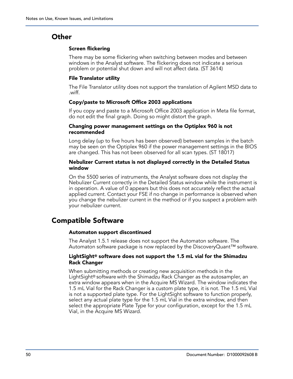# <span id="page-49-0"></span>**Other**

## Screen flickering

There may be some flickering when switching between modes and between windows in the Analyst software. The flickering does not indicate a serious problem or potential shut down and will not affect data. (ST 3614)

## File Translator utility

The File Translator utility does not support the translation of Agilent MSD data to .wiff.

## Copy/paste to Microsoft Office 2003 applications

If you copy and paste to a Microsoft Office 2003 application in Meta file format, do not edit the final graph. Doing so might distort the graph.

## Changing power management settings on the Optiplex 960 is not recommended

Long delay (up to five hours has been observed) between samples in the batch may be seen on the Optiplex 960 if the power management settings in the BIOS are changed. This has not been observed for all scan types. (ST 18017)

## Nebulizer Current status is not displayed correctly in the Detailed Status window

On the 5500 series of instruments, the Analyst software does not display the Nebulizer Current correctly in the Detailed Status window while the instrument is in operation. A value of 0 appears but this does not accurately reflect the actual applied current. Contact your FSE if no change in performance is observed when you change the nebulizer current in the method or if you suspect a problem with your nebulizer current.

# <span id="page-49-1"></span>Compatible Software

## Automaton support discontinued

The Analyst 1.5.1 release does not support the Automaton software. The Automaton software package is now replaced by the DiscoveryQuant™ software.

## LightSight® software does not support the 1.5 mL vial for the Shimadzu Rack Changer

When submitting methods or creating new acquisition methods in the LightSight® software with the Shimadzu Rack Changer as the autosampler, an extra window appears when in the Acquire MS Wizard. The window indicates the 1.5 mL Vial for the Rack Changer is a custom plate type, it is not. The 1.5 mL Vial is not a supported plate type. For the LightSight software to function properly, select any actual plate type for the 1.5 mL Vial in the extra window, and then select the appropriate Plate Type for your configuration, except for the 1.5 mL Vial, in the Acquire MS Wizard.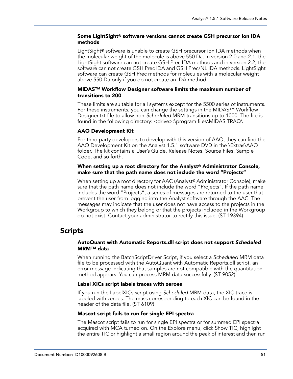## Some LightSight® software versions cannot create GSH precursor ion IDA methods

LightSight® software is unable to create GSH precursor ion IDA methods when the molecular weight of the molecule is above 550 Da. In version 2.0 and 2.1, the LightSight software can not create GSH Prec IDA methods and in version 2.2, the software can not create GSH Prec IDA and GSH Prec/NL IDA methods. LightSight software can create GSH Prec methods for molecules with a molecular weight above 550 Da only if you do not create an IDA method.

## MIDAS™ Workflow Designer software limits the maximum number of transitions to 200

These limits are suitable for all systems except for the 5500 series of instruments. For these instruments, you can change the settings in the MIDAS™ Workflow Designer.txt file to allow non-*Scheduled* MRM transitions up to 1000. The file is found in the following directory: <drive>:\program files\MIDAS TRAQ\

## AAO Development Kit

For third party developers to develop with this version of AAO, they can find the AAO Development Kit on the Analyst 1.5.1 software DVD in the \Extras\AAO folder. The kit contains a User's Guide, Release Notes, Source Files, Sample Code, and so forth.

## When setting up a root directory for the Analyst® Administrator Console, make sure that the path name does not include the word "Projects"

When setting up a root directory for AAC (Analyst® Administrator Console), make sure that the path name does not include the word "Projects". If the path name includes the word "Projects", a series of messages are returned to the user that prevent the user from logging into the Analyst software through the AAC. The messages may indicate that the user does not have access to the projects in the Workgroup to which they belong or that the projects included in the Workgroup do not exist. Contact your administrator to rectify this issue. (ST 19394)

## <span id="page-50-0"></span>Scripts

## AutoQuant with Automatic Reports.dll script does not support *Scheduled* MRM™ data

When running the BatchScriptDriver Script, if you select a *Scheduled* MRM data file to be processed with the AutoQuant with Automatic Reports.dll script, an error message indicating that samples are not compatible with the quantitation method appears. You can process MRM data successfully. (ST 9052)

## Label XICs script labels traces with zeroes

If you run the LabelXICs script using *Scheduled* MRM data, the XIC trace is labeled with zeroes. The mass corresponding to each XIC can be found in the header of the data file. (ST 6109)

## Mascot script fails to run for single EPI spectra

The Mascot script fails to run for single EPI spectra or for summed EPI spectra acquired with MCA turned on. On the Explore menu, click Show TIC, highlight the entire TIC or highlight a small region around the peak of interest and then run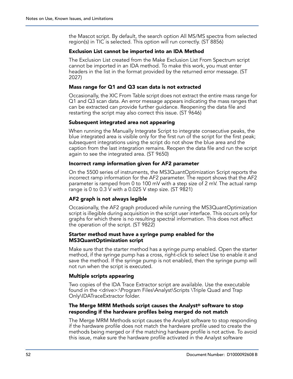the Mascot script. By default, the search option All MS/MS spectra from selected region(s) in TIC is selected. This option will run correctly. (ST 8856)

## Exclusion List cannot be imported into an IDA Method

The Exclusion List created from the Make Exclusion List From Spectrum script cannot be imported in an IDA method. To make this work, you must enter headers in the list in the format provided by the returned error message. (ST 2027)

## Mass range for Q1 and Q3 scan data is not extracted

Occasionally, the XIC From Table script does not extract the entire mass range for Q1 and Q3 scan data. An error message appears indicating the mass ranges that can be extracted can provide further guidance. Reopening the data file and restarting the script may also correct this issue. (ST 9646)

## Subsequent integrated area not appearing

When running the Manually Integrate Script to integrate consecutive peaks, the blue integrated area is visible only for the first run of the script for the first peak; subsequent integrations using the script do not show the blue area and the caption from the last integration remains. Reopen the data file and run the script again to see the integrated area. (ST 9650)

## Incorrect ramp information given for AF2 parameter

On the 5500 series of instruments, the MS3QuantOptimization Script reports the incorrect ramp information for the AF2 parameter. The report shows that the AF2 parameter is ramped from 0 to 100 mV with a step size of 2 mV. The actual ramp range is 0 to 0.3 V with a 0.025 V step size. (ST 9821)

## AF2 graph is not always legible

Occasionally, the AF2 graph produced while running the MS3QuantOptimization script is illegible during acquisition in the script user interface. This occurs only for graphs for which there is no resulting spectral information. This does not affect the operation of the script. (ST 9822)

## Starter method must have a syringe pump enabled for the MS3QuantOptimization script

Make sure that the starter method has a syringe pump enabled. Open the starter method, if the syringe pump has a cross, right-click to select Use to enable it and save the method. If the syringe pump is not enabled, then the syringe pump will not run when the script is executed.

## Multiple scripts appearing

Two copies of the IDA Trace Extractor script are available. Use the executable found in the <drive>:\Program Files\Analyst\Scripts \Triple Quad and Trap Only\IDATraceExtractor folder.

## The Merge MRM Methods script causes the Analyst® software to stop responding if the hardware profiles being merged do not match

The Merge MRM Methods script causes the Analyst software to stop responding if the hardware profile does not match the hardware profile used to create the methods being merged or if the matching hardware profile is not active. To avoid this issue, make sure the hardware profile activated in the Analyst software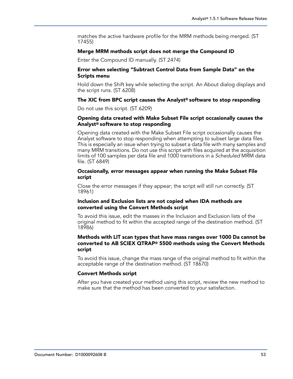matches the active hardware profile for the MRM methods being merged. (ST 17455)

### Merge MRM methods script does not merge the Compound ID

Enter the Compound ID manually. (ST 2474)

### Error when selecting "Subtract Control Data from Sample Data" on the Scripts menu

Hold down the Shift key while selecting the script. An About dialog displays and the script runs. (ST 6208)

#### The XIC from BPC script causes the Analyst® software to stop responding

Do not use this script. (ST 6209)

### Opening data created with Make Subset File script occasionally causes the Analyst® software to stop responding

Opening data created with the Make Subset File script occasionally causes the Analyst software to stop responding when attempting to subset large data files. This is especially an issue when trying to subset a data file with many samples and many MRM transitions. Do not use this script with files acquired at the acquisition limits of 100 samples per data file and 1000 transitions in a *Scheduled* MRM data file. (ST 6849)

## Occasionally, error messages appear when running the Make Subset File script

Close the error messages if they appear; the script will still run correctly. (ST 18961)

## Inclusion and Exclusion lists are not copied when IDA methods are converted using the Convert Methods script

To avoid this issue, edit the masses in the Inclusion and Exclusion lists of the original method to fit within the accepted range of the destination method. (ST 18986)

#### Methods with LIT scan types that have mass ranges over 1000 Da cannot be converted to AB SCIEX QTRAP® 5500 methods using the Convert Methods script

To avoid this issue, change the mass range of the original method to fit within the acceptable range of the destination method. (ST 18670)

## Convert Methods script

After you have created your method using this script, review the new method to make sure that the method has been converted to your satisfaction.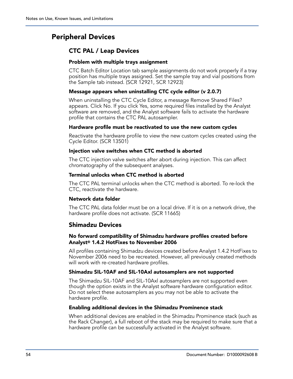# <span id="page-53-0"></span>Peripheral Devices

## <span id="page-53-1"></span>CTC PAL / Leap Devices

## Problem with multiple trays assignment

CTC Batch Editor Location tab sample assignments do not work properly if a tray position has multiple trays assigned. Set the sample tray and vial positions from the Sample tab instead. (SCR 12921, SCR 12923)

## Message appears when uninstalling CTC cycle editor (v 2.0.7)

When uninstalling the CTC Cycle Editor, a message Remove Shared Files? appears. Click No. If you click Yes, some required files installed by the Analyst software are removed, and the Analyst software fails to activate the hardware profile that contains the CTC PAL autosampler.

## Hardware profile must be reactivated to use the new custom cycles

Reactivate the hardware profile to view the new custom cycles created using the Cycle Editor. (SCR 13501)

## Injection valve switches when CTC method is aborted

The CTC injection valve switches after abort during injection. This can affect chromatography of the subsequent analyses.

## Terminal unlocks when CTC method is aborted

The CTC PAL terminal unlocks when the CTC method is aborted. To re-lock the CTC, reactivate the hardware.

## Network data folder

The CTC PAL data folder must be on a local drive. If it is on a network drive, the hardware profile does not activate. (SCR 11665)

## <span id="page-53-2"></span>Shimadzu Devices

## No forward compatibility of Shimadzu hardware profiles created before Analyst® 1.4.2 HotFixes to November 2006

All profiles containing Shimadzu devices created before Analyst 1.4.2 HotFixes to November 2006 need to be recreated. However, all previously created methods will work with re-created hardware profiles.

## Shimadzu SIL-10AF and SIL-10Axl autosamplers are not supported

The Shimadzu SIL-10AF and SIL-10Axl autosamplers are not supported even though the option exists in the Analyst software hardware configuration editor. Do not select these autosamplers as you may not be able to activate the hardware profile.

## Enabling additional devices in the Shimadzu Prominence stack

When additional devices are enabled in the Shimadzu Prominence stack (such as the Rack Changer), a full reboot of the stack may be required to make sure that a hardware profile can be successfully activated in the Analyst software.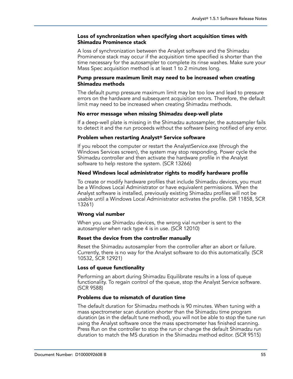## Loss of synchronization when specifying short acquisition times with Shimadzu Prominence stack

A loss of synchronization between the Analyst software and the Shimadzu Prominence stack may occur if the acquisition time specified is shorter than the time necessary for the autosampler to complete its rinse washes. Make sure your Mass Spec acquisition method is at least 1 to 2 minutes long.

## Pump pressure maximum limit may need to be increased when creating Shimadzu methods

The default pump pressure maximum limit may be too low and lead to pressure errors on the hardware and subsequent acquisition errors. Therefore, the default limit may need to be increased when creating Shimadzu methods.

#### No error message when missing Shimadzu deep-well plate

If a deep-well plate is missing in the Shimadzu autosampler, the autosampler fails to detect it and the run proceeds without the software being notified of any error.

#### Problem when restarting Analyst® Service software

If you reboot the computer or restart the AnalystService.exe (through the Windows Services screen), the system may stop responding. Power cycle the Shimadzu controller and then activate the hardware profile in the Analyst software to help restore the system. (SCR 13266)

#### Need Windows local administrator rights to modify hardware profile

To create or modify hardware profiles that include Shimadzu devices, you must be a Windows Local Administrator or have equivalent permissions. When the Analyst software is installed, previously existing Shimadzu profiles will not be usable until a Windows Local Administrator activates the profile. (SR 11858, SCR 13261)

#### Wrong vial number

When you use Shimadzu devices, the wrong vial number is sent to the autosampler when rack type 4 is in use. (SCR 12010)

#### Reset the device from the controller manually

Reset the Shimadzu autosampler from the controller after an abort or failure. Currently, there is no way for the Analyst software to do this automatically. (SCR 10532, SCR 12921)

#### Loss of queue functionality

Performing an abort during Shimadzu Equilibrate results in a loss of queue functionality. To regain control of the queue, stop the Analyst Service software. (SCR 9588)

## Problems due to mismatch of duration time

The default duration for Shimadzu methods is 90 minutes. When tuning with a mass spectrometer scan duration shorter than the Shimadzu time program duration (as in the default tune method), you will not be able to stop the tune run using the Analyst software once the mass spectrometer has finished scanning. Press Run on the controller to stop the run or change the default Shimadzu run duration to match the MS duration in the Shimadzu method editor. (SCR 9515)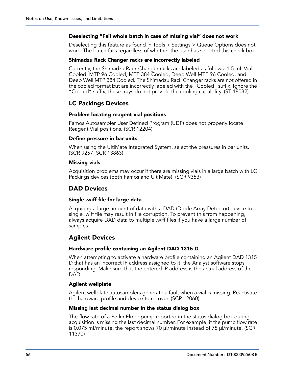## Deselecting "Fail whole batch in case of missing vial" does not work

Deselecting this feature as found in Tools > Settings > Queue Options does not work. The batch fails regardless of whether the user has selected this check box.

## Shimadzu Rack Changer racks are incorrectly labeled

Currently, the Shimadzu Rack Changer racks are labeled as follows: 1.5 mL Vial Cooled, MTP 96 Cooled, MTP 384 Cooled, Deep Well MTP 96 Cooled, and Deep Well MTP 384 Cooled. The Shimadzu Rack Changer racks are not offered in the cooled format but are incorrectly labeled with the "Cooled" suffix. Ignore the "Cooled" suffix; these trays do not provide the cooling capability. (ST 18032)

## <span id="page-55-0"></span>LC Packings Devices

## Problem locating reagent vial positions

Famos Autosampler User Defined Program (UDP) does not properly locate Reagent Vial positions. (SCR 12204)

## Define pressure in bar units

When using the UltiMate Integrated System, select the pressures in bar units. (SCR 9257, SCR 13863)

## Missing vials

Acquisition problems may occur if there are missing vials in a large batch with LC Packings devices (both Famos and UltiMate). (SCR 9353)

## <span id="page-55-1"></span>DAD Devices

## Single .wiff file for large data

Acquiring a large amount of data with a DAD (Diode Array Detector) device to a single .wiff file may result in file corruption. To prevent this from happening, always acquire DAD data to multiple .wiff files if you have a large number of samples.

## <span id="page-55-2"></span>Agilent Devices

## Hardware profile containing an Agilent DAD 1315 D

When attempting to activate a hardware profile containing an Agilent DAD 1315 D that has an incorrect IP address assigned to it, the Analyst software stops responding. Make sure that the entered IP address is the actual address of the DAD.

## Agilent wellplate

Agilent wellplate autosamplers generate a fault when a vial is missing. Reactivate the hardware profile and device to recover. (SCR 12060)

## Missing last decimal number in the status dialog box

The flow rate of a PerkinElmer pump reported in the status dialog box during acquisition is missing the last decimal number. For example, if the pump flow rate is 0.075 ml/minute, the report shows 70 μl/minute instead of 75 μl/minute. (SCR 11370)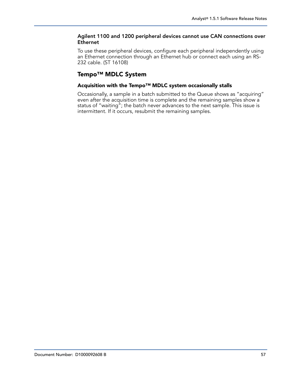## Agilent 1100 and 1200 peripheral devices cannot use CAN connections over Ethernet

To use these peripheral devices, configure each peripheral independently using an Ethernet connection through an Ethernet hub or connect each using an RS-232 cable. (ST 16108)

## <span id="page-56-0"></span>Tempo™ MDLC System

## Acquisition with the Tempo™ MDLC system occasionally stalls

Occasionally, a sample in a batch submitted to the Queue shows as "acquiring" even after the acquisition time is complete and the remaining samples show a status of "waiting"; the batch never advances to the next sample. This issue is intermittent. If it occurs, resubmit the remaining samples.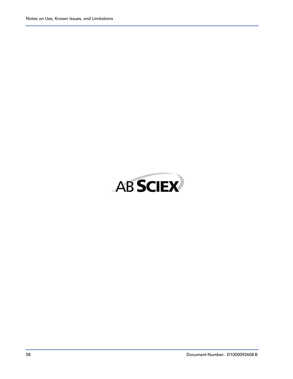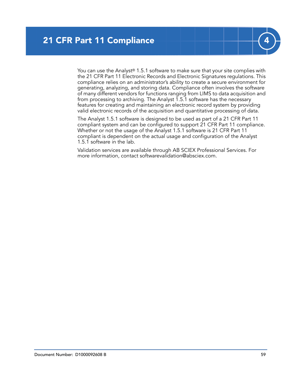<span id="page-58-0"></span>You can use the Analyst® 1.5.1 software to make sure that your site complies with the 21 CFR Part 11 Electronic Records and Electronic Signatures regulations. This compliance relies on an administrator's ability to create a secure environment for generating, analyzing, and storing data. Compliance often involves the software of many different vendors for functions ranging from LIMS to data acquisition and from processing to archiving. The Analyst 1.5.1 software has the necessary features for creating and maintaining an electronic record system by providing valid electronic records of the acquisition and quantitative processing of data.

The Analyst 1.5.1 software is designed to be used as part of a 21 CFR Part 11 compliant system and can be configured to support 21 CFR Part 11 compliance. Whether or not the usage of the Analyst 1.5.1 software is 21 CFR Part 11 compliant is dependent on the actual usage and configuration of the Analyst 1.5.1 software in the lab.

Validation services are available through AB SCIEX Professional Services. For more information, contact softwarevalidation@absciex.com.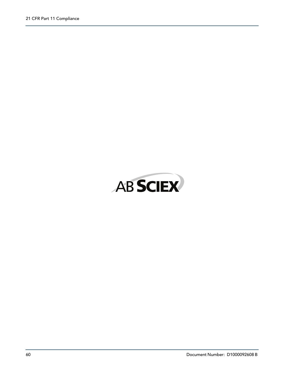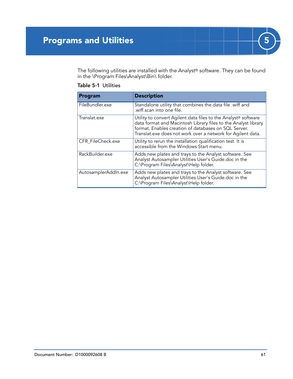<span id="page-60-0"></span>The following utilities are installed with the Analyst® software. They can be found in the \Program Files\Analyst\Bin\ folder.

## Table 5-1 Utilities

| Program              | <b>Description</b>                                                                                                                                                                                                                                                  |
|----------------------|---------------------------------------------------------------------------------------------------------------------------------------------------------------------------------------------------------------------------------------------------------------------|
| FileBundler.exe      | Standalone utility that combines the data file .wiff and<br>.wiff.scan into one file.                                                                                                                                                                               |
| Translat.exe         | Utility to convert Agilent data files to the Analyst <sup>®</sup> software<br>data format and Macintosh Library files to the Analyst library<br>format. Enables creation of databases on SQL Server.<br>Translat.exe does not work over a network for Agilent data. |
| CFR_FileCheck.exe    | Utility to rerun the installation qualification test. It is<br>accessible from the Windows Start menu.                                                                                                                                                              |
| RackBuilder.exe      | Adds new plates and trays to the Analyst software. See<br>Analyst Autosampler Utilities User's Guide.doc in the<br>C:\Program Files\Analyst\Help folder.                                                                                                            |
| AutosamplerAddIn.exe | Adds new plates and trays to the Analyst software. See<br>Analyst Autosampler Utilities User's Guide doc in the<br>C:\Program Files\Analyst\Help folder.                                                                                                            |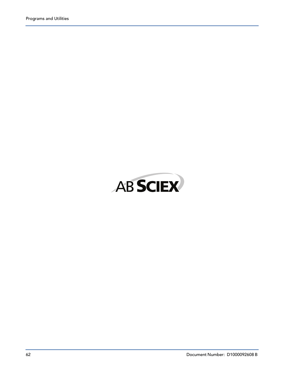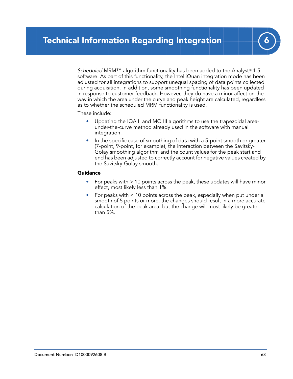<span id="page-62-1"></span><span id="page-62-0"></span>*Scheduled* MRM™ algorithm functionality has been added to the Analyst® 1.5 software. As part of this functionality, the IntelliQuan integration mode has been adjusted for all integrations to support unequal spacing of data points collected during acquisition. In addition, some smoothing functionality has been updated in response to customer feedback. However, they do have a minor affect on the way in which the area under the curve and peak height are calculated, regardless as to whether the scheduled MRM functionality is used.

These include:

- Updating the IQA II and MQ III algorithms to use the trapezoidal areaunder-the-curve method already used in the software with manual integration.
- In the specific case of smoothing of data with a 5-point smooth or greater (7-point, 9-point, for example), the interaction between the Savitsky-Golay smoothing algorithm and the count values for the peak start and end has been adjusted to correctly account for negative values created by the Savitsky-Golay smooth.

## Guidance

- For peaks with  $> 10$  points across the peak, these updates will have minor effect, most likely less than 1%.
- For peaks with  $<$  10 points across the peak, especially when put under a smooth of 5 points or more, the changes should result in a more accurate calculation of the peak area, but the change will most likely be greater than 5%.